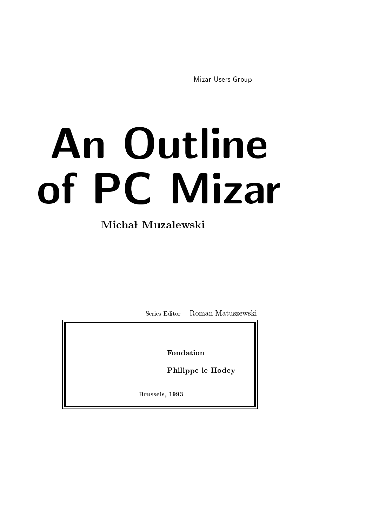Mizar Users Group

# An Outline of PC Mizar

# Michał Muzalewski

Series Editor Roman Matuszewski

Fondation

Philippe le Hodey

Brussels, 1993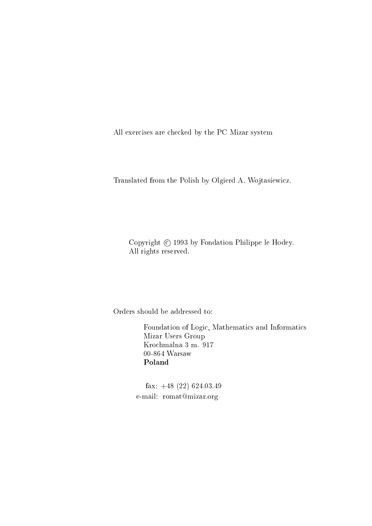All exercises are checked by the PC Mizar system

Translated from the Polish by Olgierd A. Wojtasiewicz.

Copyright  $\odot$  1993 by Fondation Philippe le Hodey. All rights reserved.

Orders should be addressed to:

Foundation of Logic, Mathematics and Informatics Mizar Users Group Krochmalna 3 m. 917 00-864 Warsaw Poland

fax: +48 (22) 624.03.49 e-mail: romat@mizar.org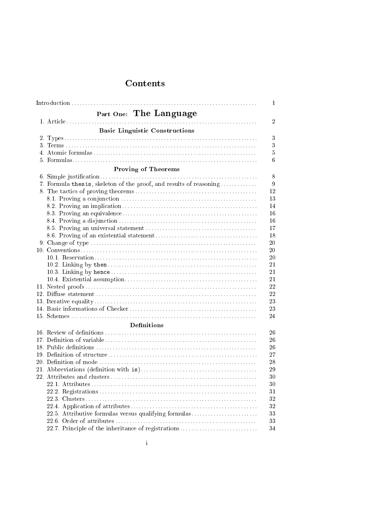|                     |                                                                    | $\mathbf{1}$   |  |  |
|---------------------|--------------------------------------------------------------------|----------------|--|--|
|                     | Part One: The Language                                             |                |  |  |
|                     |                                                                    | $\overline{2}$ |  |  |
|                     | <b>Basic Linguistic Constructions</b>                              |                |  |  |
|                     |                                                                    | 3              |  |  |
|                     |                                                                    | 3              |  |  |
|                     |                                                                    | $5\,$          |  |  |
|                     |                                                                    | 6              |  |  |
|                     |                                                                    |                |  |  |
| Proving of Theorems |                                                                    |                |  |  |
|                     | 7. Formula thesis, skeleton of the proof, and results of reasoning | 8<br>9         |  |  |
|                     |                                                                    | 12             |  |  |
|                     |                                                                    | 13             |  |  |
|                     |                                                                    | 14             |  |  |
|                     |                                                                    | 16             |  |  |
|                     |                                                                    | 16             |  |  |
|                     |                                                                    | 17             |  |  |
|                     |                                                                    | 18             |  |  |
|                     |                                                                    | 20             |  |  |
|                     |                                                                    | 20             |  |  |
|                     |                                                                    | 20             |  |  |
|                     |                                                                    | 21             |  |  |
|                     |                                                                    | 21             |  |  |
|                     |                                                                    | 21             |  |  |
|                     |                                                                    | 22             |  |  |
|                     |                                                                    | 22             |  |  |
|                     |                                                                    | 23             |  |  |
|                     |                                                                    | 23             |  |  |
|                     |                                                                    | 24             |  |  |
|                     | <b>Definitions</b>                                                 |                |  |  |
|                     |                                                                    | 26             |  |  |
|                     |                                                                    | 26             |  |  |
|                     |                                                                    | 26             |  |  |
|                     |                                                                    | 27             |  |  |
|                     |                                                                    | 28             |  |  |
|                     |                                                                    | 29             |  |  |
|                     |                                                                    | 30             |  |  |
|                     |                                                                    | 30             |  |  |
|                     |                                                                    | 31             |  |  |
|                     |                                                                    | 32             |  |  |
|                     |                                                                    | $32\,$         |  |  |
|                     | 22.5. Attributive formulas versus qualifying formulas              | 33             |  |  |
|                     |                                                                    | 33             |  |  |
|                     | 22.7. Principle of the inheritance of registrations                | 34             |  |  |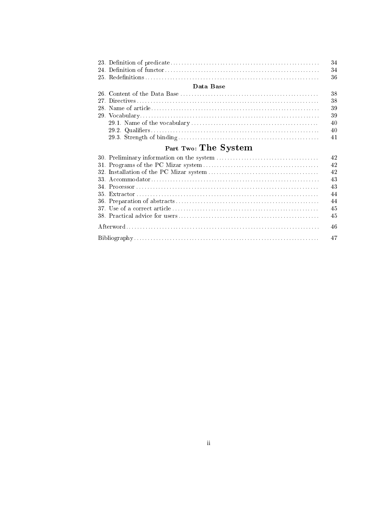|                      |           | $-34$ |  |  |  |
|----------------------|-----------|-------|--|--|--|
|                      |           | 34    |  |  |  |
|                      |           | $-36$ |  |  |  |
|                      | Data Base |       |  |  |  |
|                      |           | $-38$ |  |  |  |
|                      |           | 38    |  |  |  |
|                      |           | -39   |  |  |  |
|                      |           | 39    |  |  |  |
|                      |           | $-40$ |  |  |  |
|                      |           | $-40$ |  |  |  |
|                      |           | $-41$ |  |  |  |
| Part Two: The System |           |       |  |  |  |

|  | -42 |
|--|-----|
|  | 42  |
|  | 43  |
|  | 43  |
|  | 44  |
|  | -44 |
|  | 45  |
|  | -45 |
|  |     |
|  |     |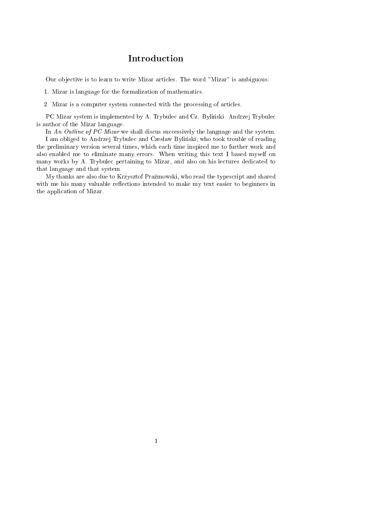## Introduction

Our objective is to learn to write Mizar articles. The word "Mizar" is ambiguous:

1. Mizar is language for the formalization of mathematics.

2. Mizar is a computer system connected with the processing of articles.

PC Mizar system is implemented by A. Trybulec and Cz. Bylinski. Andrzej Trybulec is author of the Mizar language.

In An Outline of PC Mizar we shall discus successively the language and the system.

I am obliged to Andrzej Trybulec and Czesław Byliński, who took trouble of reading the preliminary version several times, which each time inspired me to further work and also enabled me to eliminate many errors. When writing this text I based myself on many works by A. Trybulec pertaining to Mizar, and also on his lectures dedicated to that language and that system.

My thanks are also due to Krzysztof Prazmowski, who read the typescript and shared with me his many valuable reflections intended to make my text easier to beginners in the application of Mizar.

1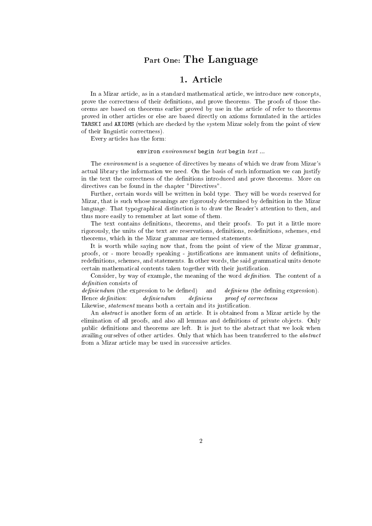# Part One: The Language

In a Mizar article, as in a standard mathematical article, we introduce new concepts, prove the correctness of their definitions, and prove theorems. The proofs of those theorems are based on theorems earlier proved by use in the article of refer to theorems proved in other articles or else are based directly on axioms formulated in the articles TARSKI and AXIOMS (which are checked by the system Mizar solely from the point of view of their linguistic correctness).

Every articles has the form:

#### environ  $environment$  begin  $text$  begin  $text$ ...

The environment is a sequence of directives by means of which we draw from Mizar's actual library the information we need. On the basis of such information we can justify in the text the correctness of the definitions introduced and prove theorems. More on directives can be found in the chapter "Directives".

Further, certain words will be written in bold type. They will be words reserved for Mizar, that is such whose meanings are rigorously determined by definition in the Mizar language. That typographical distinction is to draw the Reader's attention to then, and thus more easily to remember at last some of them.

The text contains definitions, theorems, and their proofs. To put it a little more rigorously, the units of the text are reservations, definitions, redefinitions, schemes, end theorems, which in the Mizar grammar are termed statements.

It is worth while saying now that, from the point of view of the Mizar grammar, proofs, or - more broadly speaking - justifications are immanent units of definitions, redefinitions, schemes, and statements. In other words, the said grammatical units denote certain mathematical contents taken together with their justification.

Consider, by way of example, the meaning of the word *definition*. The content of a definition consists of

 $definiendum$  (the expression to be defined) and  $definiens$  (the defining expression). Hence definition: definiendum definiens proof of correctness Likewise, *statement* means both a certain and its justification.

An abstract is another form of an article. It is obtained from a Mizar article by the elimination of all proofs, and also all lemmas and definitions of private objects. Only public definitions and theorems are left. It is just to the abstract that we look when availing ourselves of other articles. Only that which has been transferred to the abstract from a Mizar article may be used in successive articles.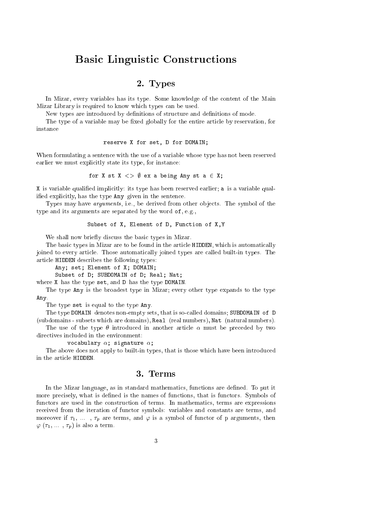## Basic Linguistic Constructions

## 2. Types

In Mizar, every variables has its type. Some knowledge of the content of the Main Mizar Library is required to know which types can be used.

New types are introduced by definitions of structure and definitions of mode.

The type of a variable may be fixed globally for the entire article by reservation, for instance

#### reserve X for set, D for DOMAIN;

When formulating a sentence with the use of a variable whose type has not been reserved earlier we must explicitly state its type, for instance:

for X st X  $\langle \rangle$  0 ex a being Any st a  $\in$  X;

X is variable qualied implicitly: its type has been reserved earlier; a is a variable qualied explicitly, has the type Any given in the sentence.

Types may have *arguments*, i.e., be derived from other objects. The symbol of the type and its arguments are separated by the word of, e.g.,

#### Subset of X, Element of D, Function of X,Y

We shall now briefly discuss the basic types in Mizar.

The basic types in Mizar are to be found in the article HIDDEN, which is automatically joined to every article. Those automatically joined types are called built-in types. The article HIDDEN describes the following types:

Any; set; Element of X; DOMAIN;

Subset of D; SUBDOMAIN of D; Real; Nat;

where X has the type set, and D has the type DOMAIN.

The type Any is the broadest type in Mizar; every other type expands to the type Any.

The type set is equal to the type Any.

The type DOMAIN denotes non-empty sets, that is so-called domains; SUBDOMAIN of D (subdomains - subsets which are domains), Real (real numbers), Nat (natural numbers).

The use of the type  $\theta$  introduced in another article  $\alpha$  must be preceded by two directives included in the environment:

vocabulary  $\alpha$ ; signature  $\alpha$ ;

The above does not apply to built-in types, that is those which have been introduced in the article HIDDEN.

## 3. Terms

In the Mizar language, as in standard mathematics, functions are dened. To put it more precisely, what is defined is the names of functions, that is functors. Symbols of functors are used in the construction of terms. In mathematics, terms are expressions received from the iteration of functor symbols: variables and constants are terms, and moreover if  $\tau_1, \ldots, \tau_p$  are terms, and  $\varphi$  is a symbol of functor of p arguments, then  $\varphi$  ( $\tau_1, \ldots, \tau_p$ ) is also a term.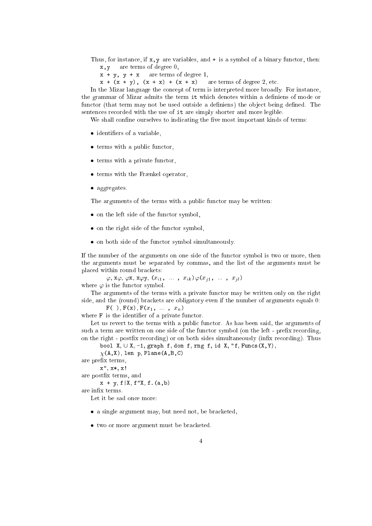Thus, for instance, if  $x, y$  are variables, and  $+$  is a symbol of a binary functor, then: x,y are terms of degree 0,

 $x + y$ ,  $y + x$  are terms of degree 1,

 $x + (x + y)$ ,  $(x + x) + (x + x)$  are terms of degree 2, etc.

In the Mizar language the concept of term is interpreted more broadly. For instance, the grammar of Mizar admits the term it which denotes within a definiens of mode or functor (that term may not be used outside a definiens) the object being defined. The sentences recorded with the use of it are simply shorter and more legible.

We shall confine ourselves to indicating the five most important kinds of terms:

- identiers of a variable,
- terms with a public functor, and  $\alpha$
- terms with a private functor,
- terms with the Frnkel operator,
- $-27$

The arguments of the terms with a public functor may be written:

- on the left side of the function symbol, see the
- on the right side of the functor symbol,
- on both side of the functor symbol simultaneously.

If the number of the arguments on one side of the functor symbol is two or more, then the arguments must be separated by commas, and the list of the arguments must be placed within round brackets:

 $\varphi$ ,  $\mathbf{x}\varphi$ ,  $\varphi$ **x**,  $\mathbf{x}\varphi$ **y**,  $(x_{i1}, \ldots, x_{ik})\varphi(x_{i1}, \ldots, x_{il})$ where  $\varphi$  is the functor symbol.

The arguments of the terms with a private functor may be written only on the right side, and the (round) brackets are obligatory even if the number of arguments equals 0:

 $F( )$ ,  $F(x)$ ,  $F(x_1, \ldots, x_n)$ where F is the identifier of a private functor.

Let us revert to the terms with a public functor. As has been said, the arguments of such a term are written on one side of the functor symbol (on the left - prefix recording, on the right - postfix recording) or on both sides simultaneously (infix recording). Thus

bool X,  $\cup$  X, -1, graph f, dom f, rng f, id X, "f, Funcs(X,Y),

 $\chi(A, X)$ , len p, Plane(A,B,C)

are prefix terms,

x", x\*, x!

are postfix terms, and

 $x + y, f | X, f "X, f. (a, b)$ 

are inx terms.

Let it be sad once more:

- a single argument may, but need not, be bracketed,
- two or more argument must be bracketed.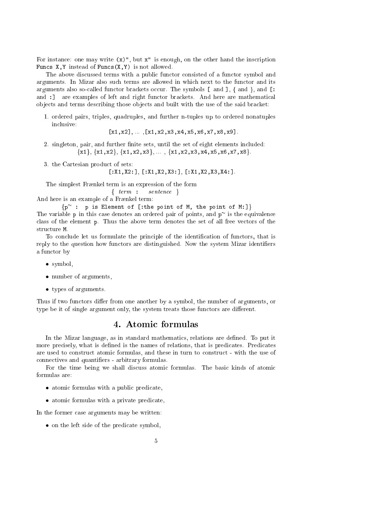For instance: one may write  $(x)$ ", but  $x$ " is enough, on the other hand the inscription Funcs  $X, Y$  instead of Funcs $(X, Y)$  is not allowed.

The above discussed terms with a public functor consisted of a functor symbol and arguments. In Mizar also such terms are allowed in which next to the functor and its arguments also so-called functor brackets occur. The symbols  $\lceil$  and  $\rceil$ ,  $\lceil$  and  $\rceil$ , and  $\lceil$ : and :] are examples of left and right functor brackets. And here are mathematical ob jects and terms describing those ob jects and built with the use of the said bracket:

1. ordered pairs, triples, quadruples, and further n-tuples up to ordered nonatuples inclusive:

 $[x1, x2], \ldots, [x1, x2, x3, x4, x5, x6, x7, x8, x9].$ 

- 2. singleton, pair, and further finite sets, until the set of eight elements included:  ${x1}, {x1, x2}, {x1, x2, x3}, \dots, {x1, x2, x3, x4, x5, x6, x7, x8}.$
- 3. the Cartesian product of sets:

 $[:X1, X2:]$ ,  $[:X1, X2, X3:]$ ,  $[:X1, X2, X3, X4:]$ .

The simplest Frænkel term is an expression of the form

f term : sentence <sup>g</sup>

And here is an example of a Frænkel term:

fp : p is Element of [:the point of M, the point of M:]g The variable p in this case denotes an ordered pair of points, and p is the equivalence class of the element p. Thus the above term denotes the set of all free vectors of the structure M.

To conclude let us formulate the principle of the identication of functors, that is reply to the question how functors are distinguished. Now the system Mizar identifiers a functor by

- symbol,
- number of arguments, and
- $t<sub>1</sub>$  per of arguments.

Thus if two functors differ from one another by a symbol, the number of arguments, or type be it of single argument only, the system treats those functors are different.

In the Mizar language, as in standard mathematics, relations are dened. To put it more precisely, what is defined is the names of relations, that is predicates. Predicates are used to construct atomic formulas, and these in turn to construct - with the use of connectives and quantiers - arbitrary formulas.

For the time being we shall discuss atomic formulas. The basic kinds of atomic formulas are:

- atomic formulas with a public predicate, and
- atomic formulas with a private predicate,

In the former case arguments may be written:

on the left side of the predicate symbol, where  $\mathbf{s}$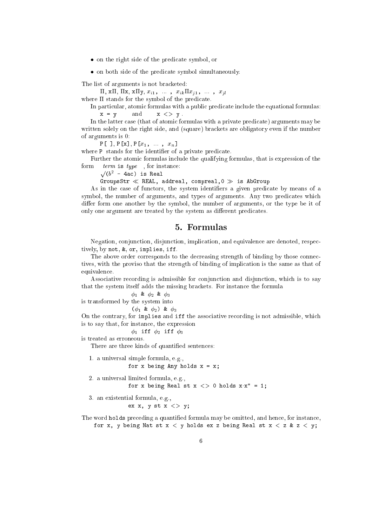- on the right side of the predicate symbol, or
- on both side of the predicate symbol simultaneously.

The list of arguments is not bracketed:

 $\Pi$ , x $\Pi$ ,  $\Pi$ x, x $\Pi$ y,  $x_{i1}$ , ...,  $x_{ik}\Pi x_{j1}$ , ...,  $x_{jl}$ 

where  $\Pi$  stands for the symbol of the predicate.

In particular, atomic formulas with a public predicate include the equational formulas:  $x = y$  and  $x \le y$ .

In the latter case (that of atomic formulas with a private predicate) arguments may be written solely on the right side, and (square) brackets are obligatory even if the number of arguments is 0:

 $P[\ ]$ ,  $P[x]$ ,  $P[x_1, \dots, x_n]$ 

where P stands for the identifier of a private predicate.

Further the atomic formulas include the qualifying formulas, that is expression of the form  $term$  is  $type$ , for instance:

 $\sqrt{(b^2 - 4ac)}$  is Real

GroupsStr  $\ll$  REAL, addreal, compreal, 0  $\gg$  is AbGroup

As in the case of functors, the system identifiers a given predicate by means of a symbol, the number of arguments, and types of arguments. Any two predicates which differ form one another by the symbol, the number of arguments, or the type be it of only one argument are treated by the system as different predicates.

## 5. Formulas

Negation, conjunction, disjunction, implication, and equivalence are denoted, respectively, by not, &, or, implies, iff.

The above order corresponds to the decreasing strength of binding by those connectives, with the proviso that the strength of binding of implication is the same as that of equivalence.

Associative recording is admissible for conjunction and disjunction, which is to say that the system itself adds the missing brackets. For instance the formula

 $\phi_1$  &  $\phi_2$  &  $\phi_3$ 

```
is transformed by the system into
```
 $(\phi_1 \& \phi_2) \& \phi_3$ 

On the contrary, for implies and iff the associative recording is not admissible, which is to say that, for instance, the expression

 $\phi_1$  iff  $\phi_2$  iff  $\phi_3$ 

is treated as erroneous.

There are three kinds of quantified sentences:

1. a universal simple formula, e.g., for x being Any holds  $x = x$ ; 2. a universal limited formula, e.g., for x being Real st  $x \leq 0$  holds  $x \cdot x'' = 1$ ; 3. an existential formula, e.g., ex x, y st  $x \le y$ ;

The word holds preceding a quantied formula may be omitted, and hence, for instance, for x, y being Nat st  $x < y$  holds ex z being Real st  $x < z$  &  $z < y$ ;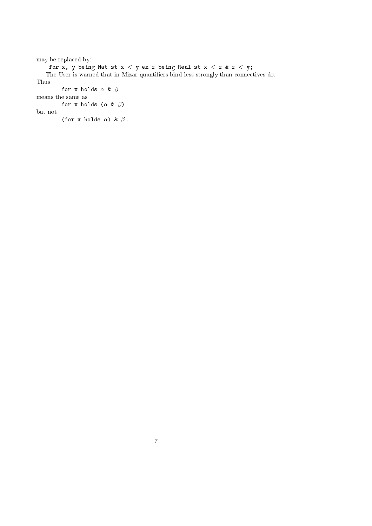```
may be replaced by:
     for x, y being Nat st x < y ex z being Real st x < z & z < y;
   The User is warned that in Mizar quantiers bind less strongly than connectives do.
Thus
         for x holds \alpha & \betameans the same as
        for x holds (\alpha \& \beta)but not
         (for x holds \alpha) & \beta.
```
7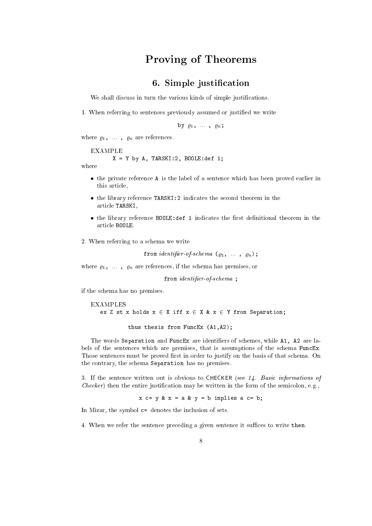## Proving of Theorems

## 6. Simple justication

We shall discuss in turn the various kinds of simple justifications.

1. When referring to sentences previously assumed or justied we write

by  $\varrho_1$ , ...,  $\varrho_n$ ;

where  $\varrho_1$  ,  $\;\ldots\;$  ,  $\;\varrho_n$  are references.

#### EXAMPLE

 $X = Y$  by A, TARSKI:2, BOOLE:def 1;

where

- the private reference A is the label of a sentence which has been proved earlier in this article,
- the library reference TARSKI:2 indicates the second theorem in the article TARSKI,
- the library reference BOOLE:def 1 indicates the rst denitional theorem in the article BOOLE.
- 2. When referring to a schema we write

from *identifier-of-schema*  $(\varrho_1, \ldots, \varrho_n);$ 

where  $\varrho_1$ , ...,  $\varrho_n$  are references, if the schema has premises, or

from *identifier-of-schema*;

if the schema has no premises.

EXAMPLES ex Z st x holds  $x \in X$  iff  $x \in X$  &  $x \in Y$  from Separation;

thus thesis from FuncEx (A1,A2);

The words Separation and FuncEx are identifiers of schemes, while A1, A2 are labels of the sentences which are premises, that is assumptions of the schema FuncEx. Those sentences must be proved first in order to justify on the basis of that schema. On the contrary, the schema Separation has no premises.

3. If the sentence written out is obvious to CHECKER (see 14. Basic informations of *Checker*) then the entire justification may be written in the form of the semicolon, e.g.,

 $x \subset = y \& x = a \& y = b$  implies a  $c = b$ ;

In Mizar, the symbol c= denotes the inclusion of sets.

4. When we refer the sentence preceding a given sentence it suffices to write then.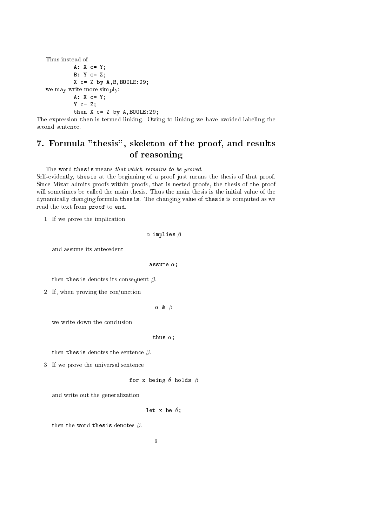Thus instead of A: X c= Y; B: Y c= Z;  $X$  c= Z by  $A$ , B, BOOLE: 29; we may write more simply: A: X c= Y;  $Y$   $C = Z;$ then  $X$   $C = Z$  by  $A$ ,  $B00LE:29$ ;

The expression then is termed linking. Owing to linking we have avoided labeling the second sentence.

# 7. Formula "thesis", skeleton of the proof, and results of reasoning

The word thesis means that which remains to be proved.

Self-evidently, thesis at the beginning of a proof just means the thesis of that proof. Since Mizar admits proofs within proofs, that is nested proofs, the thesis of the proof will sometimes be called the main thesis. Thus the main thesis is the initial value of the dynamically changing formula thesis. The changing value of thesis is computed as we read the text from proof to end.

1. If we prove the implication

 $\alpha$  implies  $\beta$ 

and assume its antecedent

assume  $\alpha$ ;

then thesis denotes its consequent  $\beta$ .

2. If, when proving the conjunction

 $\alpha$  &  $\beta$ 

we write down the conclusion

thus  $\alpha$ ;

then thesis denotes the sentence  $\beta$ .

3. If we prove the universal sentence

```
for x being \theta holds \beta
```
and write out the generalization

let x be  $\theta$ ;

then the word thesis denotes  $\beta$ .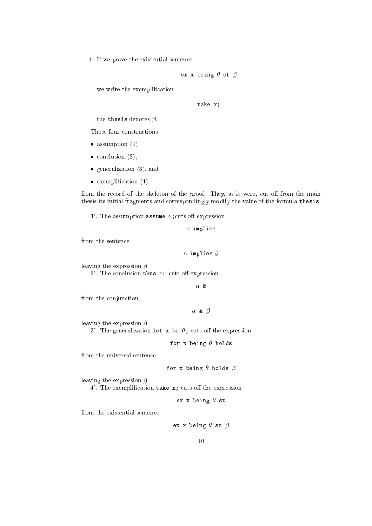4. If we prove the existential sentence

$$
\verb"ex x being \theta st \beta"
$$

we write the exemplification

take x;

the thesis denotes  $\beta$ .

These four constructions:

- assumption (1),  $\frac{1}{2}$ ,  $\frac{1}{2}$
- $\sim$  conclusion (2),  $\sim$  (2),  $\sim$
- $\overline{\phantom{a}}$
- exemplication (4).

from the record of the skeleton of the proof. They, as it were, cut off from the main thesis its initial fragments and correspondingly modify the value of the formula thesis:

1'. The assumption assume  $\alpha$ ; cuts off expression

 $\alpha$  implies

from the sentence

 $\alpha$  implies  $\beta$ 

leaving the expression  $\beta$ .

2'. The conclusion thus  $\alpha$ ; cuts off expression

 $\alpha$  &

from the conjunction

 $\alpha$  &  $\beta$ 

leaving the expression  $\beta$ .

3'. The generalization let x be  $\theta$ ; cuts off the expression

for x being  $\theta$  holds

from the universal sentence

for x being  $\theta$  holds  $\beta$ 

leaving the expression  $\beta$ .

4'. The exemplification take  $x$ ; cuts off the expression

ex x being  $\theta$  st

from the existential sentence

ex x being  $\theta$  st  $\beta$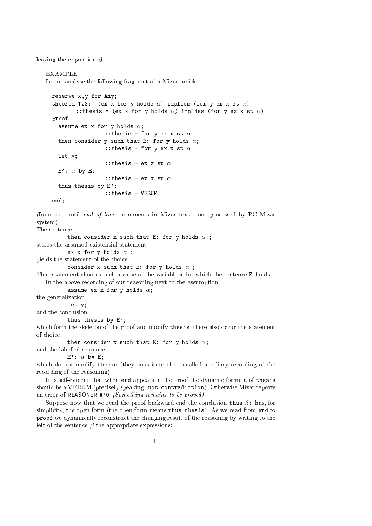leaving the expression  $\beta$ .

#### EXAMPLE

Let us analyse the following fragment of a Mizar article:

```
reserve x,y for Any;
     theorem T23: (ex x for y holds \alpha) implies (for y ex x st \alpha)
              :: thesis = (ex x for y holds \alpha) implies (for y ex x st \alpha)
     proof
       assume ex x for y holds \alpha;
                        :: thesis = for y ex x st \alphathen consider y such that E: for y holds \alpha;
                        :: thesis = for y ex x st \alphalet y;
                        :: thesis = ex x st \alphaE': \alpha by E;
                        :: thesis = ex x st \alphathus thesis by E';
                       ::thesis = VERUM
     end;
(from :: until end-of-line - comments in Mizar text - not processed by PC Mizar
```
system). The sentence

then consider x such that E: for y holds  $\alpha$  ;

states the assumed existential statement

```
ex x for y holds \alpha;
```
yields the statement of the choice

```
consider x such that E: for y holds \alpha ;
```
That statement chooses such a value of the variable x for which the sentence E holds. In the above recording of our reasoning next to the assumption

```
assume ex x for y holds \alpha;
the generalization
```

```
let y;
and the conclusion
```
thus thesis by E';

which form the skeleton of the proof and modify thesis, there also occur the statement of choice

```
then consider x such that E: for y holds \alpha;
and the labelled sentence
```
 $E'$ :  $\alpha$  by E;

which do not modify thesis (they constitute the so-called auxiliary recording of the recording of the reasoning).

It is self-evident that when end appears in the proof the dynamic formula of thesis should be a VERUM (precisely speaking: not contradiction). Otherwise Mizar reports an error of REASONER #70 (Something remains to be proved).

Suppose now that we read the proof backward end the conclusion thus  $\beta$ ; has, for simplicity, the open form (the open form means thus thesis). As we read from end to proof we dynamically reconstruct the changing result of the reasoning by writing to the left of the sentence  $\beta$  the appropriate expressions: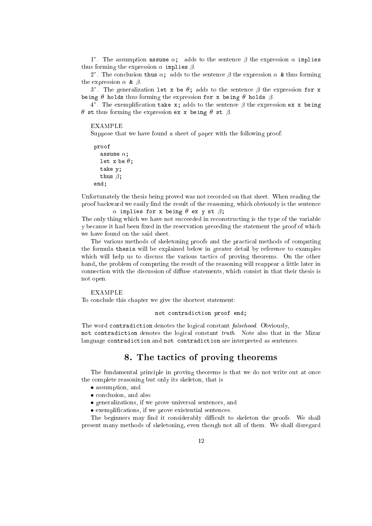1". The assumption assume  $\alpha$ ; adds to the sentence  $\beta$  the expression  $\alpha$  implies thus forming the expression  $\alpha$  implies  $\beta$ .

2". The conclusion thus  $\alpha$ ; adds to the sentence  $\beta$  the expression  $\alpha$  & thus forming the expression  $\alpha \in \beta$ .

3". The generalization let x be  $\theta$ ; adds to the sentence  $\beta$  the expression for x being  $\theta$  holds thus forming the expression for x being  $\theta$  holds  $\beta$ .

4". The exemplification take  $x$ ; adds to the sentence  $\beta$  the expression ex x being  $\theta$  st thus forming the expression ex x being  $\theta$  st  $\beta$ .

EXAMPLE

Suppose that we have found a sheet of paper with the following proof:

```
proof
  assume \alpha;
  let x be \theta;
  take y;
  thus \beta;
end;
```
Unfortunately the thesis being proved was not recorded on that sheet. When reading the proof backward we easily find the result of the reasoning, which obviously is the sentence  $\alpha$  implies for x being  $\theta$  ex y st  $\beta$ ;

The only thing which we have not succeeded in reconstructing is the type of the variable y because it had been fixed in the reservation preceding the statement the proof of which we have found on the said sheet.

The various methods of skeletoning proofs and the practical methods of computing the formula thesis will be explained below in greater detail by reference to examples which will help us to discuss the various tactics of proving theorems. On the other hand, the problem of computing the result of the reasoning will reappear a little later in connection with the discussion of diffuse statements, which consist in that their thesis is not open.

#### **EXAMPLE**

To conclude this chapter we give the shortest statement:

not contradiction proof end;

The word contradiction denotes the logical constant falsehood. Obviously, not contradiction denotes the logical constant truth. Note also that in the Mizar language contradiction and not contradiction are interpreted as sentences.

#### 8. The tactics of proving theorems

The fundamental principle in proving theorems is that we do not write out at once the complete reasoning but only its skeleton, that is

- assumption, and
- conclusion, and also also a
- generalizations, if we prove universal sentences, and
- exemplications, if we prove existential sentences.

The beginners may find it considerably difficult to skeleton the proofs. We shall present many methods of skeletoning, even though not all of them. We shall disregard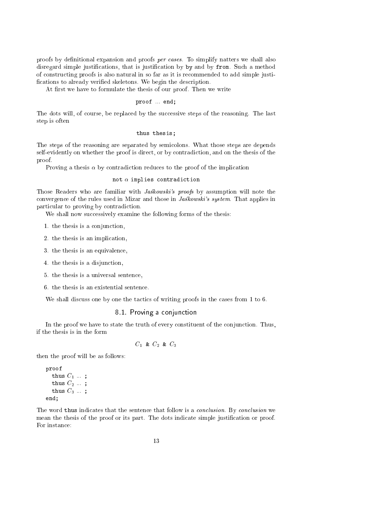proofs by definitional expansion and proofs per cases. To simplify natters we shall also disregard simple justications, that is justication by by and by from. Such a method of constructing proofs is also natural in so far as it is recommended to add simple justi fications to already verified skeletons. We begin the description.

At first we have to formulate the thesis of our proof. Then we write

#### proof ... end;

The dots will, of course, be replaced by the successive steps of the reasoning. The last step is often

#### thus thesis;

The steps of the reasoning are separated by semicolons. What those steps are depends self-evidently on whether the proof is direct, or by contradiction, and on the thesis of the proof.

Proving a thesis  $\alpha$  by contradiction reduces to the proof of the implication

#### not  $\alpha$  implies contradiction

Those Readers who are familiar with  $Ja\acute{s}kowski's$  proofs by assumption will note the convergence of the rules used in Mizar and those in  $Ja\hat{skowski's system}$ . That applies in particular to proving by contradiction.

We shall now successively examine the following forms of the thesis:

- 1. the thesis is a conjunction,
- 2. the thesis is an implication,
- 3. the thesis is an equivalence,
- 4. the thesis is a disjunction,
- 5. the thesis is a universal sentence,
- 6. the thesis is an existential sentence.

We shall discuss one by one the tactics of writing proofs in the cases from 1 to 6.

#### 8.1. Proving a conjunction

In the proof we have to state the truth of every constituent of the conjunction. Thus, if the thesis is in the form

$$
C_1 \& C_2 \& C_3
$$

then the proof will be as follows:

```
proof
  thus C_1 ...;
  thus C_2 \ldots;
  thus C_3 ...;
end;
```
The word thus indicates that the sentence that follow is a *conclusion*. By *conclusion* we mean the thesis of the proof or its part. The dots indicate simple justification or proof. For instance: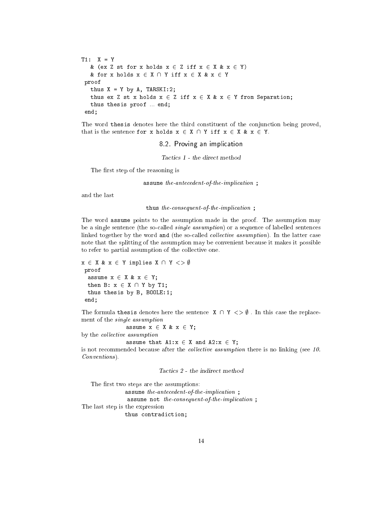```
T1: X = Y
     & (ex Z st for x holds x \in Z iff x \in X & x \in Y)
     & for x holds x \in X \cap Y iff x \in X & x \in Yproof
      thus X = Y by A, TARSKI:2;
      thus ex Z st x holds x \in Z iff x \in X & x \in Y from Separation;
     thus thesis proof ... end;
  end:
  ending the contract of the contract of the contract of the contract of the contract of the contract of the contract of the contract of the contract of the contract of the contract of the contract of the contract of the con
```
The word thesis denotes here the third constituent of the conjunction being proved, that is the sentence for x holds  $x \in X \cap Y$  iff  $x \in X$  &  $x \in Y$ .

8.2. Proving an implication

Tactics <sup>1</sup> - the direct method

The first step of the reasoning is

assume the-antecedent-of-the-implication;

and the last

thus the-consequent-of-the-implication ;

The word assume points to the assumption made in the proof. The assumption may be a single sentence (the so-called single assumption) or a sequence of labelled sentences linked together by the word and (the so-called *collective assumption*). In the latter case note that the splitting of the assumption may be convenient because it makes it possible to refer to partial assumption of the collective one.

```
x \in X \& x \in Y implies X \cap Y \iff \emptysetproof
  assume x \in X \& x \in Y;
  then B: x \in X \cap Y by T1;
  thus thesis by B, BOOLE:1;
 end;
```
The formula thesis denotes here the sentence  $X \cap Y \leq \emptyset$ . In this case the replacement of the single assumption

assume  $x \in X \& x \in Y$ ;

by the *collective* assumption

assume that  $A1:x \in X$  and  $A2:x \in Y$ ; is not recommended because after the *collective assumption* there is no linking (see 10. Conventions).

Tactics <sup>2</sup> - the indirect method

The first two steps are the assumptions:  $\;$ assume the-antecedent-of-the-implication; assume not the-consequent-of-the-implication; The last step is the expression thus contradiction;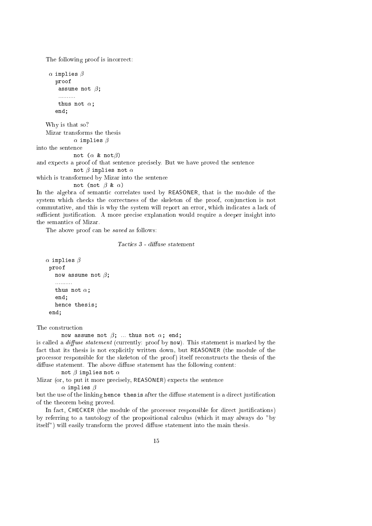The following proof is incorrect:

```
\alpha implies \betaproof
        assume not \beta;
        ..........
        thus not \alpha;
       end;
    Why is that so?
   Mizar transforms the thesis
               \alpha implies \betainto the sentence
               not (\alpha & not\beta)
and expects a proof of that sentence precisely. But we have proved the sentence
               not \beta implies not \alphawhich is transformed by Mizar into the sentence
               not (not \beta & \alpha)
```
In the algebra of semantic correlates used by REASONER, that is the module of the system which checks the correctness of the skeleton of the proof, conjunction is not commutative, and this is why the system will report an error, which indicates a lack of sufficient justification. A more precise explanation would require a deeper insight into the semantics of Mizar.

The above proof can be saved as follows:

Tactics 3 - diffuse statement

```
\alpha implies \betaproof
    now assume not \beta;
    ..........
    thus not \alpha;
    end;
    hence thesis;
```
The construction

 $-$ 

now assume not  $\beta$ ; ... thus not  $\alpha$ ; end;

is called a *diffuse statement* (currently: proof by now). This statement is marked by the fact that its thesis is not explicitly written down, but REASONER (the module of the processor responsible for the skeleton of the proof ) itself reconstructs the thesis of the diffuse statement. The above diffuse statement has the following content:

not  $\beta$  implies not  $\alpha$ 

Mizar (or, to put it more precisely, REASONER) expects the sentence

 $\alpha$  implies  $\beta$ 

but the use of the linking hence thesis after the diffuse statement is a direct justification of the theorem being proved.

In fact, CHECKER (the module of the processor responsible for direct justifications) by referring to a tautology of the propositional calculus (which it may always do "by itself") will easily transform the proved diffuse statement into the main thesis.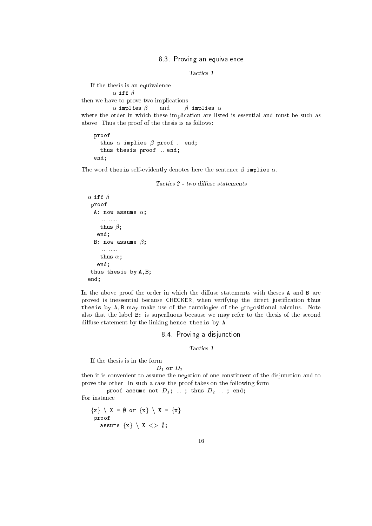#### 8.3. Proving an equivalence

Tactics <sup>1</sup>

If the thesis is an equivalence  $\alpha$  iff  $\beta$ then we have to prove two implications  $\alpha$  implies  $\beta$  and  $\beta$  implies  $\alpha$ where the order in which these implication are listed is essential and must be such as above. Thus the proof of the thesis is as follows:

```
proof
  thus \alpha implies \beta proof ... end;
  thus thesis proof ... end;
end;
```
The word thesis self-evidently denotes here the sentence  $\beta$  implies  $\alpha$ .

```
\alpha iff \betaproof
   A: now assume \alpha;
     ............
     thus \beta;
    end;
  B: now assume \beta;
     ............
     thus \alpha;
    end;
 thus thesis by A,B;
end;
```
In the above proof the order in which the diffuse statements with theses A and B are proved is inessential because CHECKER, when verifying the direct justification thus thesis by A,B may make use of the tautologies of the propositional calculus. Note also that the label B: is superfluous because we may refer to the thesis of the second diffuse statement by the linking hence thesis by A.

#### 8.4. Proving a disjunction

Tactics 1

If the thesis is in the form

$$
D_1 \text{ or } D_2
$$

then it is convenient to assume the negation of one constituent of the disjunction and to prove the other. In such a case the proof takes on the following form:

proof assume not  $D_1$ ; ...; thus  $D_2$  ...; end;

For instance

 ${x} \ X = \emptyset$  or  ${x} \ X = \{x\}$ proof assume  $\{x\} \setminus X \iff \emptyset;$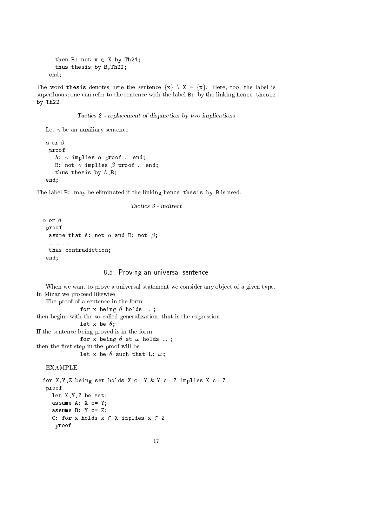```
then B: not x \in X by Th24;
 thus thesis by B,Th22;
end;
```
The word thesis denotes here the sentence  $\{x\} \setminus X = \{x\}$ . Here, too, the label is superfluous; one can refer to the sentence with the label B: by the linking hence thesis by Th22.

Tactics <sup>2</sup> - replacement of disjunction by two implications

Let  $\gamma$  be an auxiliary sentence

```
\alpha or \betaproof
   A: \gamma implies \alpha proof ... end;
   B: not \gamma implies \beta proof ... end;
   thus thesis by A,B;
end;
```
The label B: may be eliminated if the linking hence thesis by B is used.

```
Tactics 3 - indirect
```

```
\alpha or \betaproof
  asume that A: not \alpha and B: not \beta;
  ............
  thus contradiction;
 end;
```
#### 8.5. Proving an universal sentence

When we want to prove a universal statement we consider any object of a given type. In Mizar we proceed likewise. The proof of a sentence in the form for x being  $\theta$  holds ...; then begins with the so-called generalization, that is the expression let x be  $\theta$ ; If the sentence being proved is in the form for x being  $\theta$  st  $\omega$  holds ...; then the first step in the proof will be let x be  $\theta$  such that L:  $\omega$ ;

#### **EXAMPLE**

```
for X, Y, Z being set holds X c= Y & Y c= Z implies X c= Zproof
   let X,Y,Z be set;
   assume A: X c= Y;
   assume B: Y c= Z;
  C: for x holds x \in X implies x \in Zproof
```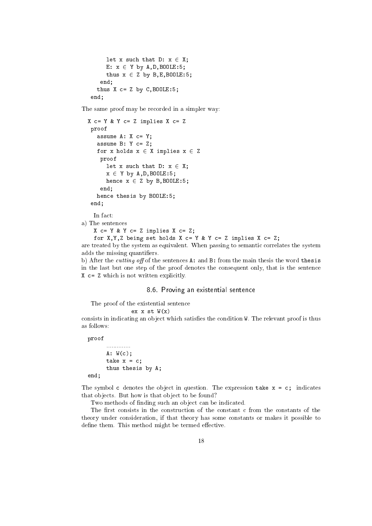```
let x such that D: x \in X;
     E: x \in Y by A, D, B00LE:5;
     thus x \in Z by B, E, B00LE:5;
   end;
  thus X c= Z by C, BOOLE: 5;
end:
```
The same proof may be recorded in a simpler way:

```
X c= Y & Y c= Z implies X c= Z
 proof
   assume A: X c= Y;
   assume B: Y c= Z;
   for x holds x \in X implies x \in Zproof
      let x such that D: x \in X;
      x \in Y by A, D, B00LE:5;hence x \in Z by B, B00LE:5;
    end;
   hence thesis by BOOLE:5;
 end;
```
In fact:

end; and the contract of the contract of the contract of the contract of the contract of the contract of the contract of the contract of the contract of the contract of the contract of the contract of the contract of the c

a) The sentences

 $X$  c= Y & Y c= Z implies X c= Z;

for  $X, Y, Z$  being set holds  $X$  c=  $Y$  &  $Y$  c=  $Z$  implies  $X$  c=  $Z$ ;

are treated by the system as equivalent. When passing to semantic correlates the system adds the missing quantiers.

b) After the *cutting off* of the sentences  $A:$  and  $B:$  from the main thesis the word thesis in the last but one step of the proof denotes the consequent only, that is the sentence X c= Z which is not written explicitly.

#### 8.6. Proving an existential sentence

The proof of the existential sentence

ex  $x$  st  $W(x)$ 

consists in indicating an object which satisfies the condition W. The relevant proof is thus as follows:

proof

```
..............
      A: W(c);take x = c;
      thus thesis by A;
end;
```
The symbol c denotes the object in question. The expression take  $x = c$ ; indicates that objects. But how is that object to be found?

Two methods of finding such an object can be indicated.

The first consists in the construction of the constant c from the constants of the theory under consideration, if that theory has some constants or makes it possible to define them. This method might be termed effective.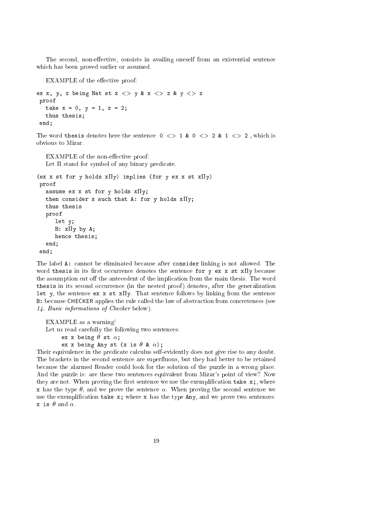The second, non-effective, consists in availing oneself from an existential sentence which has been proved earlier or assumed.

EXAMPLE of the effective proof:

```
ex x, y, z being Nat st x \langle > y & x \langle > z & y \langle > z
proof
   take x = 0, y = 1, z = 2;
   thus thesis;
 end;
```
The word thesis denotes here the sentence  $0 \leq 1$  &  $0 \leq 2$  &  $1 \leq 2$ , which is obvious to Mizar.

EXAMPLE of the non-effective proof: Let  $\Pi$  stand for symbol of any binary predicate.

```
(ex x st for y holds x \Pi y) implies (for y ex x st x \Pi y)
proof
   assume ex x st for y holds x \Pi y;
  then consider x such that A: for y holds x \Pi y;
  thus thesis
  proof
      let y;
      B: x \Pi y by A;hence thesis;
   end;
end;
```
The label A: cannot be eliminated because after consider linking is not allowed. The word thesis in its first occurrence denotes the sentence for  $y \in x$  x st xIIy because the assumption cut off the antecedent of the implication from the main thesis. The word thesis in its second occurrence (in the nested proof) denotes, after the generalization let y, the sentence ex x st  $x \Pi y$ . That sentence follows by linking from the sentence B: because CHECKER applies the rule called the law of abstraction from concreteness (see 14. Basic informations of Checker below).

```
EXAMPLE as a warning!
```
Let us read carefully the following two sentences:

ex x being  $\theta$  st  $\alpha$ ;

ex x being Any st (x is  $\theta$  &  $\alpha$ );

Their equivalence in the predicate calculus self-evidently does not give rise to any doubt. The brackets in the second sentence are superfluous, but they had better to be retained because the alarmed Reader could look for the solution of the puzzle in a wrong place. And the puzzle is: are these two sentences equivalent from Mizar's point of view? Now they are not. When proving the first sentence we use the exemplification take  $x_i$ , where x has the type  $\theta$ , and we prove the sentence  $\alpha$ . When proving the second sentence we use the exemplification take  $x$ ; where  $x$  has the type Any, and we prove two sentences: x is  $\theta$  and  $\alpha$ .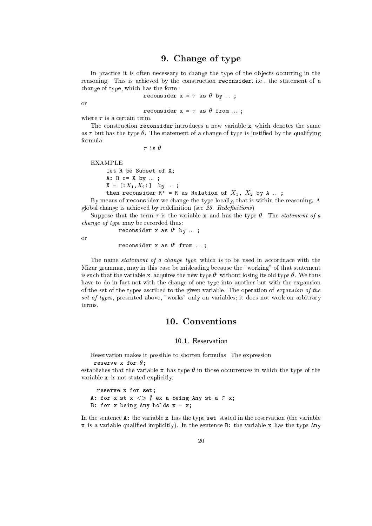## 9. Change of type

In practice it is often necessary to change the type of the ob jects occurring in the reasoning. This is achieved by the construction reconsider, i.e., the statement of a change of type, which has the form:

reconsider  $x = \tau$  as  $\theta$  by ...;

or

reconsider  $x = \tau$  as  $\theta$  from ...;

where  $\tau$  is a certain term.

The construction reconsider introduces a new variable x which denotes the same as  $\tau$  but has the type  $\theta$ . The statement of a change of type is justified by the qualifying formula:

 $\tau$  is  $\theta$ 

EXAMPLE let R be Subset of X; A: R c= X by ... ;  $X = [X_1, X_2:]$  by ...; then reconsider  $R'$  = R as Relation of  $X_1$ ,  $X_2$  by A ...;

By means of reconsider we change the type locally, that is within the reasoning. A global change is achieved by redefinition (see 25. Redefinitions).

Suppose that the term  $\tau$  is the variable x and has the type  $\theta$ . The *statement of a* change of type may be recorded thus:

reconsider x as <sup>0</sup> by ... ;

or

reconsider x as  $\sigma$  irom ...;

The name *statement of a change type*, which is to be used in accordnace with the Mizar grammar, may in this case be misleading because the "working" of that statement is such that the variable  $x$  acquires the new type  $\sigma$  -without losing its old type  $\sigma$ . We thus have to do in fact not with the change of one type into another but with the expansion of the set of the types ascribed to the given variable. The operation of expansion of the set of types, presented above, "works" only on variables; it does not work on arbitrary terms.

#### 10.1 Reservation

Reservation makes it possible to shorten formulas. The expression reserve x for  $\theta$ ;

establishes that the variable x has type  $\theta$  in those occurrences in which the type of the variable x is not stated explicitly.

reserve x for set; A: for x st  $x \iff \emptyset$  ex a being Any st a  $\in$  x; B: for x being Any holds  $x = x$ ;

In the sentence  $A$ : the variable  $x$  has the type set stated in the reservation (the variable x is a variable qualied implicitly). In the sentence B: the variable x has the type Any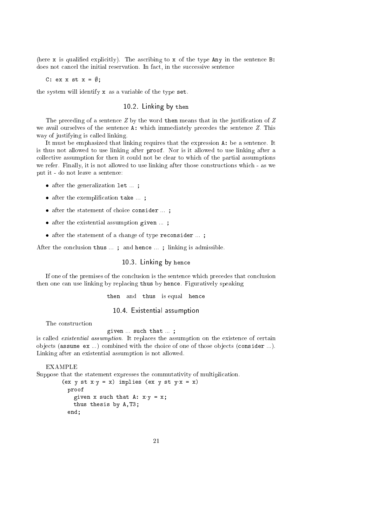(here  $x$  is qualified explicitly). The ascribing to  $x$  of the type Any in the sentence B: does not cancel the initial reservation. In fact, in the successive sentence

C: ex x st  $x = \emptyset$ ;

the system will identify x as a variable of the type set.

#### 10.2. Linking by then

The preceding of a sentence  $Z$  by the word then means that in the justification of  $Z$ we avail ourselves of the sentence A: which immediately precedes the sentence Z. This way of justifying is called linking.

It must be emphasized that linking requires that the expression A: be a sentence. It is thus not allowed to use linking after proof. Nor is it allowed to use linking after a collective assumption for then it could not be clear to which of the partial assumptions we refer. Finally, it is not allowed to use linking after those constructions which - as we put it - do not leave a sentence:

- and the set  $\alpha$  -distribution is defined in ... ;
- after the exemployment is the state ...
- after the statement of choice consider ... ;
- and the existential assumption given  $\mathcal{A}$  as the state  $\mathcal{A}$
- after the statement of a change of type reconsider  $\mathbf{r}$

After the conclusion thus ... ; and hence ... ; linking is admissible.

10.3. Linking by hence

If one of the premises of the conclusion is the sentence which precedes that conclusion then one can use linking by replacing thus by hence. Figuratively speaking

then and thus is equal hence

10.4. Existential assumption

given ... such that ... ;

is called existential assumption. It replaces the assumption on the existence of certain objects (assume ex ...) combined with the choice of one of those objects (consider ...). Linking after an existential assumption is not allowed.

EXAMPLE

Suppose that the statement expresses the commutativity of multiplication.

```
(ex y st x \cdot y = x) implies (ex y st y \cdot x = x)
 proof
    given x such that A: x \cdot y = x;thus thesis by A,T3;
  end;
```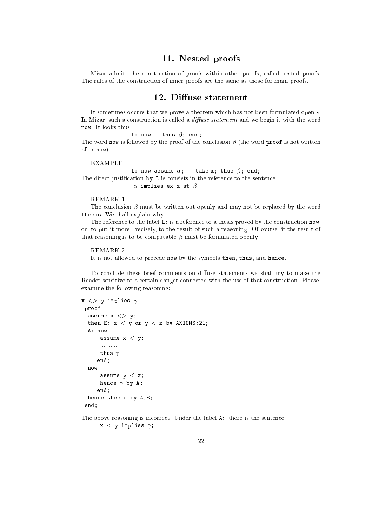## 11. Nested proofs

Mizar admits the construction of proofs within other proofs, called nested proofs. The rules of the construction of inner proofs are the same as those for main proofs.

#### 12. Diffuse statement

It sometimes occurs that we prove a theorem which has not been formulated openly. In Mizar, such a construction is called a  $diffuse$  statement and we begin it with the word now. It looks thus:

L: now  $\ldots$  thus  $\beta$ ; end; The word now is followed by the proof of the conclusion  $\beta$  (the word proof is not written after now).

EXAMPLE

L: now assume  $\alpha$ ; ... take x; thus  $\beta$ ; end; The direct justification by L is consists in the reference to the sentence  $\alpha$  implies ex x st  $\beta$ 

#### REMARK 1

The conclusion  $\beta$  must be written out openly and may not be replaced by the word thesis. We shall explain why.

The reference to the label L: is a reference to a thesis proved by the construction now, or, to put it more precisely, to the result of such a reasoning. Of course, if the result of that reasoning is to be computable  $\beta$  must be formulated openly.

#### REMARK<sub>2</sub>

It is not allowed to precede now by the symbols then, thus, and hence.

To conclude these brief comments on diffuse statements we shall try to make the Reader sensitive to a certain danger connected with the use of that construction. Please, examine the following reasoning:

```
x \langle \rangle y implies \gammaproof
  assume x \le y;
  then E: x < y or y < x by AXIOMS:21;
  A: now
      assume x < y;
      ............
      thus \gamma;
     end;
  now
       assume y < x;
      hence \gamma by A;
     end;
  hence thesis by A,E;
 end;
```
The above reasoning is incorrect. Under the label A: there is the sentence  $x < y$  implies  $\gamma$ ;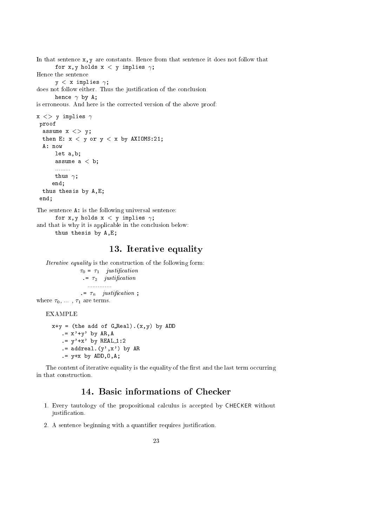```
In that sentence x, y are constants. Hence from that sentence it does not follow that
      for x,y holds x < y implies \gamma;
Hence the sentence
      y < x implies \gamma;
does not follow either. Thus the justication of the conclusion
      hence \gamma by A;
is erroneous. And here is the corrected version of the above proof:
x \langle \rangle y implies \gammaproof
  assume x \le y;
  then E: x < y or y < x by AXIOMS:21;
  A: now
      let a,b;
      assume a < b;
      1.1.1.1.1.1.1thus \gamma;
     end;
  thus thesis by A,E;
 end;
The sentence A: is the following universal sentence:
      for x,y holds x < y implies \gamma;
and that is why it is applicable in the conclusion below:
```

```
thus thesis by A,E;
```
#### 13. Iterative equality

Iterative equality is the construction of the following form:  $\tau_0 = \tau_1$  justification  $\tau = \tau_2$  justification .............. .=  $\tau_n$  justification; where  $\tau_0, \ldots, \tau_1$  are terms.

 $x+y =$  (the add of G\_Real).  $(x,y)$  by ADD  $. = x' + y'$  by  $AR, A$  $.y' + x'$  by REAL  $1:2$  $:=$  addreal.  $(y', x')$  by AR  $. = y + x by ADD, 0, A;$ 

The content of iterative equality is the equality of the first and the last term occurring in that construction.

## 14. Basic informations of Checker

- 1. Every tautology of the propositional calculus is accepted by CHECKER without justification.
- 2. A sentence beginning with a quantifier requires justification.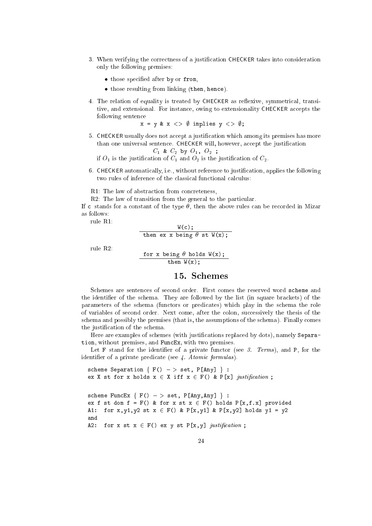- 3. When verifying the correctness of a justification CHECKER takes into consideration only the following premises:
	- those specied after by or from,
	- those resulting from linking (then, hence).
- 4. The relation of equality is treated by CHECKER as reflexive, symmetrical, transitive, and extensional. For instance, owing to extensionality CHECKER accepts the following sentence

 $x = y \& x \iff \emptyset$  implies  $y \iff \emptyset$ ;

5. CHECKER usually does not accept a justication which among its premises has more than one universal sentence. CHECKER will, however, accept the justification

$$
C_1 \& C_2 \text{ by } O_1, O_2 ;
$$

if  $O_1$  is the justification of  $C_1$  and  $O_2$  is the justification of  $C_2$ .

6. CHECKER automatically, i.e., without reference to justication, applies the following two rules of inference of the classical functional calculus:

R1: The law of abstraction from concreteness,

R2: The law of transition from the general to the particular.

If c stands for a constant of the type  $\theta$ , then the above rules can be recorded in Mizar as follows:

rule R1:

$$
\frac{W(c)}{\text{then ex x being } \theta \text{ st } W(x);}
$$

rule R2:

for x being  $\theta$  holds  $W(x)$ ; then  $W(x)$ ;

#### 15. Schemes

Schemes are sentences of second order. First comes the reserved word scheme and the identifier of the schema. They are followed by the list (in square brackets) of the parameters of the schema (functors or predicates) which play in the schema the role of variables of second order. Next come, after the colon, successively the thesis of the schema and possibly the premises (that is, the assumptions of the schema). Finally comes the justication of the schema.

Here are examples of schemes (with justifications replaced by dots), namely Separation, without premises, and FuncEx, with two premises.

Let F stand for the identifier of a private functor (see  $\beta$ . Terms), and P, for the identifier of a private predicate (see 4. Atomic formulas).

```
scheme Separation \{ F() \rightarrow > \text{set}, P[Any] \}:
ex X st for x holds x \in X iff x \in F() & P[x] justification;
scheme FuncEx \{ F() - > set, P[Any, Any] \} :
ex f st dom f = F() & for x st x \in F() holds P[x, f.x] provided
A1: for x,y1,y2 st x \in F() & P[x,y1] & P[x,y2] holds y1 = y2and
A2: for x st x \in F() ex y st P[x,y] justification;
```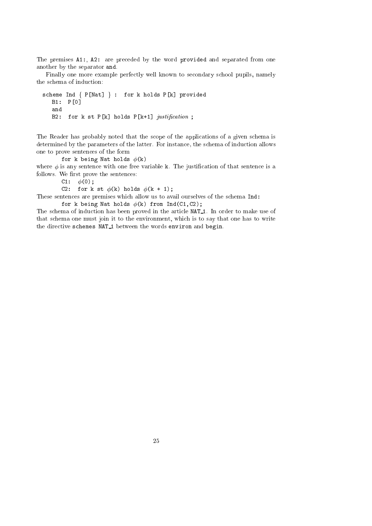The premises A1:, A2: are preceded by the word provided and separated from one another by the separator and.

Finally one more example perfectly well known to secondary school pupils, namely the schema of induction:

```
scheme Ind \{ P[Nat] \}: for k holds P[k] provided
  B1: P[0]
  and
  B2: for k st P[k] holds P[k+1] justification;
```
The Reader has probably noted that the scope of the applications of a given schema is determined by the parameters of the latter. For instance, the schema of induction allows one to prove sentences of the form

for k being Nat holds  $\phi(k)$ 

where  $\phi$  is any sentence with one free variable k. The justification of that sentence is a follows. We first prove the sentences:

C1:  $\phi(0)$ ;

C2: for k st  $\phi(k)$  holds  $\phi(k + 1)$ ;

These sentences are premises which allow us to avail ourselves of the schema Ind: for k being Nat holds  $\phi(k)$  from Ind(C1,C2);

The schema of induction has been proved in the article NAT 1. In order to make use of that schema one must join it to the environment, which is to say that one has to write the directive schemes NAT<sub>1</sub> between the words environ and begin.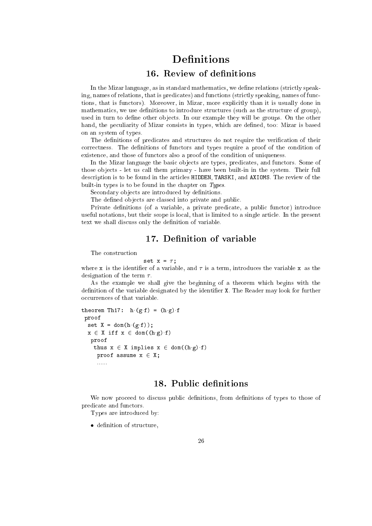# **Definitions**

## 16. Review of definitions

In the Mizar language, as in standard mathematics, we define relations (strictly speaking, names of relations, that is predicates) and functions (strictly speaking, names of functions, that is functors). Moreover, in Mizar, more explicitly than it is usually done in mathematics, we use definitions to introduce structures (such as the structure of group), used in turn to define other objects. In our example they will be groups. On the other hand, the peculiarity of Mizar consists in types, which are defined, too: Mizar is based on an system of types.

The definitions of predicates and structures do not require the verification of their correctness. The definitions of functors and types require a proof of the condition of existence, and those of functors also a proof of the condition of uniqueness.

In the Mizar language the basic objects are types, predicates, and functors. Some of those ob jects - let us call them primary - have been built-in in the system. Their full description is to be found in the articles HIDDEN, TARSKI, and AXIOMS. The review of the built-in types is to be found in the chapter on Types.

Secondary objects are introduced by definitions.

The defined objects are classed into private and public.

Private denitions (of a variable, a private predicate, a public functor) introduce useful notations, but their scope is local, that is limited to a single article. In the present text we shall discuss only the definition of variable.

## 17. Definition of variable

The construction

$$
set x = \tau;
$$

where x is the identifier of a variable, and  $\tau$  is a term, introduces the variable x as the designation of the term  $\tau$ .

As the example we shall give the beginning of a theorem which begins with the definition of the variable designated by the identifier X. The Reader may look for further occurrences of that variable.

```
theorem Th17: h(g f) = (h g) fproof
  set X = dom(h(g.f));x \in X iff x \in dom((h g) f)proof
    thus x \in X implies x \in dom((h \cdot g) \cdot f)proof assume x \in X;
     ......
```
## 18. Public definitions

We now proceed to discuss public definitions, from definitions of types to those of predicate and functors.

Types are introduced by:

decreases and structure, which is not an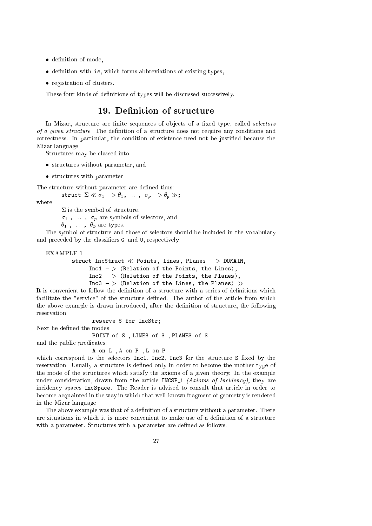- decreases and mode, and mode,
- decreases with a breviation of existing the contract of existing types,
- registration of clusters.

These four kinds of definitions of types will be discussed successively.

#### 19. Definition of structure

In Mizar, structure are finite sequences of objects of a fixed type, called selectors of a given structure. The definition of a structure does not require any conditions and correctness. In particular, the condition of existence need not be justified because the Mizar language.

Structures may be classed into:

- structures with parameter, and the parameter with parameter, and the parameter, and the parameter, and the para
- structures with parameter.

The structure without parameter are defined thus:

struct  $\Sigma \ll \sigma_1 - \sigma_1$ , ...,  $\sigma_p - \sigma_p \gg$ ;

where

 $\Sigma$  is the symbol of structure,

 $\sigma_1$ , ...,  $\sigma_p$  are symbols of selectors, and

 $\theta_1$ , ,  $\theta_p$  are types.

The symbol of structure and those of selectors should be included in the vocabulary and preceded by the classiers G and U, respectively.

```
EXAMPLE 1
```

```
struct IncStruct \ll Points, Lines, Planes - > DOMAIN,
     Inc1 - > (Relation of the Points, the Lines),Inc2 - > (Relation of the Points, the Planes),Inc3 \rightarrow (Relation of the Lines, the Planes) \gg
```
It is convenient to follow the definition of a structure with a series of definitions which facilitate the "service" of the structure defined. The author of the article from which the above example is drawn introduced, after the definition of structure, the following

reserve S for IncStr;

Next he defined the modes:

POINT of S , LINES of S , PLANES of S

and the public predicates:

A on L , A on P , L on P

which correspond to the selectors Inc1, Inc2, Inc3 for the structure S fixed by the reservation. Usually a structure is defined only in order to become the mother type of the mode of the structures which satisfy the axioms of a given theory. In the example under consideration, drawn from the article INCSP<sub>-1</sub> (Axioms of Incidency), they are incidency spaces IncSpace. The Reader is advised to consult that article in order to become acquainted in the way in which that well-known fragment of geometry is rendered in the Mizar language.

The above example was that of a definition of a structure without a parameter. There are situations in which it is more convenient to make use of a denition of a structure with a parameter. Structures with a parameter are defined as follows.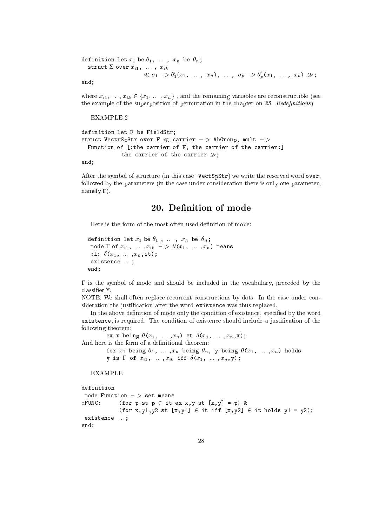```
definition let x_1 be \theta_1, ..., x_n be \theta_n;
   struct \Sigma over x_{i1}, ..., x_{ik}\ll \sigma_1 - \rho_1(x_1, \ldots, x_n), ..., \sigma_p - \rho_2(x_1, \ldots, x_n) \gg;
```
end;

where  $x_{i1}, \ldots, x_{ik} \in \{x_1, \ldots, x_n\}$ , and the remaining variables are reconstructible (see the example of the superposition of permutation in the chapter on  $25$ . Redefinitions).

EXAMPLE 2

```
definition let F be FieldStr;
struct VectrSpStr over F \ll carrier - > AbGroup, mult - >
 Function of [:the carrier of F, the carrier of the carrier:]
            the carrier of the carrier \gg:
```
end;

After the symbol of structure (in this case: VectSpStr) we write the reserved word over, followed by the parameters (in the case under consideration there is only one parameter, namely F).

#### 20. Denition of mode

Here is the form of the most often used definition of mode:

```
definition let x_1 be \theta_1, ..., x_n be \theta_n;
 mode \Gamma of x_{i1}, ..., x_{ik} \implies \theta (x_1, \ldots, x_n) means
 :L: \delta(x_1, \ldots, x_n, \text{it});
 existence ... ;
end;
```
 $\Gamma$  is the symbol of mode and should be included in the vocabulary, preceded by the

NOTE: We shall often replace recurrent constructions by dots. In the case under consideration the justication after the word existence was thus replaced.

In the above definition of mode only the condition of existence, specified by the word existence, is required. The condition of existence should include a justication of the following theorem:

ex x being  $\theta(x_1, ..., x_n)$  st  $\delta(x_1, ..., x_n,x)$ ; And here is the form of a definitional theorem:

```
for x_1 being \theta_1, ..., x_n being \theta_n, y being \theta(x_1, \ldots, x_n) holds
y is \Gamma of x_{i1}, ... , x_{ik} iff \delta(x_1, \ldots, x_n,y);
```
EXAMPLE

```
definition
mode Function - > set means
:FUNC: (for p st p \in it ex x, y st [x,y] = p) &
             (for x, y1, y2 st [x, y1] \in \text{it iff } [x, y2] \in \text{it holds } y1 = y2);existence ... ;
end;
```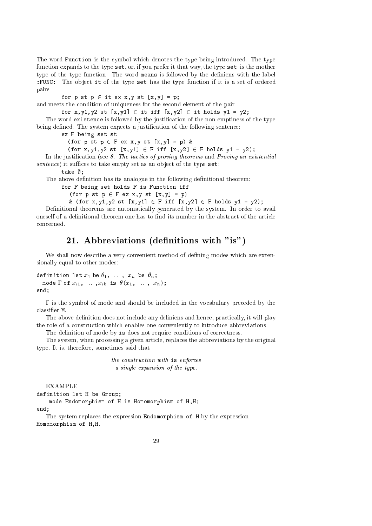The word Function is the symbol which denotes the type being introduced. The type function expands to the type set, or, if you prefer it that way, the type set is the mother type of the type function. The word means is followed by the definiens with the label : FUNC:. The object it of the type set has the type function if it is a set of ordered pairs

for  $p$  st  $p \in$  it ex x, y st  $[x,y] = p$ ;

and meets the condition of uniqueness for the second element of the pair

for x,y1,y2 st  $[x,y1] \in \text{it iff } [x,y2] \in \text{it holds } y1 = y2;$ 

The word existence is followed by the justication of the non-emptiness of the type being defined. The system expects a justification of the following sentence:

ex F being set st

(for p st  $p \in F$  ex x, y st  $[x,y] = p$ ) &

(for x,y1,y2 st  $[x,y1] \in F$  iff  $[x,y2] \in F$  holds y1 = y2);

In the justification (see  $8$ . The tactics of proving theorems and Proving an existential  $sentence)$  it suffices to take empty set as an object of the type set:

take  $\emptyset$ :

The above definition has its analogue in the following definitional theorem:

for F being set holds F is Function iff

(for p st  $p \in F$  ex x, y st  $[x,y] = p$ )

& (for x,y1,y2 st  $[x,y1] \in F$  iff  $[x,y2] \in F$  holds  $y1 = y2$ );

Definitional theorems are automatically generated by the system. In order to avail oneself of a definitional theorem one has to find its number in the abstract of the article concerned.

## 21. Abbreviations (definitions with "is")

We shall now describe a very convenient method of defining modes which are extensionally equal to other modes:

definition let  $x_1$  be  $\theta_1$ , ...,  $x_n$  be  $\theta_n$ ; mode  $\Gamma$  of  $x_{i1}$ , ...,  $x_{ik}$  is  $\theta(x_1, \ldots, x_n)$ ; end;

 $\Gamma$  is the symbol of mode and should be included in the vocabulary preceded by the classier M.

The above definition does not include any definiens and hence, practically, it will play the role of a construction which enables one conveniently to introduce abbreviations.

The definition of mode by is does not require conditions of correctness.

The system, when processing a given article, replaces the abbreviations by the original type. It is, therefore, sometimes said that

> the construction with is enforces a single expansion of the type.

EXAMPLE

end; and the contract of the contract of the contract of the contract of the contract of the contract of the contract of the contract of the contract of the contract of the contract of the contract of the contract of the c

```
definition let H be Group;
```
mode Endomorphism of H is Homomorphism of H,H; end:

The system replaces the expression Endomorphism of H by the expression Homomorphism of H,H.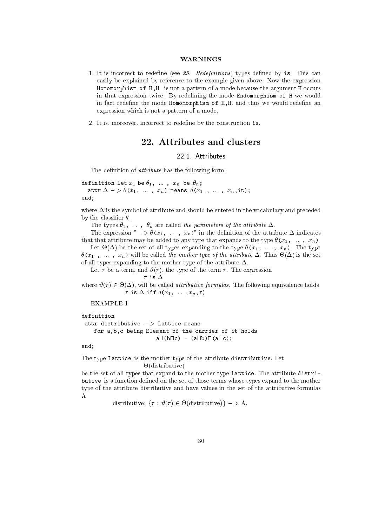#### WARNINGS

- 1. It is incorrect to redefine (see  $25$ . Redefinitions) types defined by is. This can easily be explained by reference to the example given above. Now the expression Homomorphism of H,H is not a pattern of a mode because the argument H occurs in that expression twice. By redefining the mode Endomorphism of H we would in fact redefine the mode Homomorphism of  $H,H$ , and thus we would redefine an expression which is not a pattern of a mode.
- 2. It is, moreover, incorrect to redene by the construction is.

#### 22. Attributes and clusters

#### 22.1. Attributes

The definition of *attribute* has the following form:

definition let  $x_1$  be  $\theta_1$ , ...,  $x_n$  be  $\theta_n$ ; attr  $\Delta$  - >  $\theta$ ( $x_1$ , ...,  $x_n$ ) means  $\delta$ ( $x_1$ , ...,  $x_n$ ,it); end;

where  $\Delta$  is the symbol of attribute and should be entered in the vocabulary and preceded by the classifier  $V$ .

The types  $\theta_1$ , ...,  $\theta_n$  are called the parameters of the attribute  $\Delta$ .

The expression " $-$  >  $\theta(x_1, \ldots, x_n)$ " in the definition of the attribute  $\Delta$  indicates that that attribute may be added to any type that expands to the type  $\theta(x_1, \ldots, x_n)$ .

Let -() be the set of all types expanding to the type (x1, ... , xn). The type (i.e. , ... , ... , ... , ... , ... , ... , ... , ... , ... , ... , ... , ... , ... , ... , ... , ... , ... , ... , ... , ... , ... , ... , ... , ... , ... , ... , ... , ... , ... , ... , ... , ... , ... , ... , ... , ... of all types expanding to the mother type of the attribute  $\Delta$ .

Let  $\tau$  be a term, and  $\vartheta(\tau)$ , the type of the term  $\tau$ . The expression

$$
\mathsf{is}\ \Delta
$$

 $\tau$ .

where  $\alpha$  ( )  $\alpha$  -called attributive formulas. The following equivalence holds:  $\tau$  is  $\Delta$  iff  $\delta(x_1, \ldots, x_n, \tau)$ 

EXAMPLE 1

```
definition
 attr distributive - > Lattice means
    for a,b,c being Element of the carrier of it holds
                           a \Box(b \Box c) = (a \Box b) \Box(a \Box c);
```
end;

The type Lattice is the mother type of the attribute distributive. Let -(distributive)

be the set of all types that expand to the mother type Lattice. The attribute distributive is a function defined on the set of those terms whose types expand to the mother type of the attribute distributive and have values in the set of the attributive formulas A:

distributive: f : ( ) 2 - ( ) distributive; and it is a set of the set of the set of the set of the set of the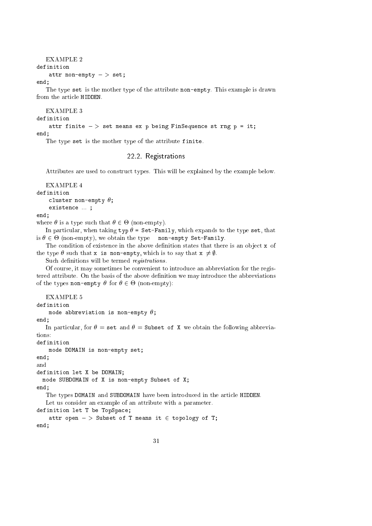#### EXAMPLE 2 definition attr non-empty  $-$  set;

end;

The type set is the mother type of the attribute non-empty. This example is drawn from the article HIDDEN.

#### EXAMPLE 3

definition

attr finite  $-$  > set means ex p being FinSequence st rng p = it;

end;

The type set is the mother type of the attribute finite.

#### 22.2. Registrations

Attributes are used to construct types. This will be explained by the example below.

```
definition
    cluster non-empty \theta;
    existence ... ;
```
end;

end; and the contract of the contract of the contract of the contract of the contract of the contract of the contract of the contract of the contract of the contract of the contract of the contract of the contract of the c

where  $\alpha$  is a type such that  $\alpha$  is a contract that  $\alpha$ 

In particular, when taking typ  $\theta$  = Set-Family, which expands to the type set, that is <sup>2</sup> - (non-empty), we obtain the type non-empty Set-Family.

The condition of existence in the above definition states that there is an object  $x$  of the type  $\theta$  such that x is non-empty, which is to say that  $x \neq \emptyset$ .

Such definitions will be termed *registrations*.

Of course, it may sometimes be convenient to introduce an abbreviation for the registered attribute. On the basis of the above definition we may introduce the abbreviations of the types non-empty for <sup>2</sup> - (non-empty):

EXAMPLE 5

```
definition
      mode abbreviation is non-empty \theta;
end;
    In particular, for \theta = \text{set} and \theta = \text{Subset} of X we obtain the following abbrevia-
tions:
definition
      mode DOMAIN is non-empty set;
end;
and
definition let X be DOMAIN;
  mode SUBDOMAIN of X is non-empty Subset of X;
end:
end; and the contract of the contract of the contract of the contract of the contract of the contract of the contract of the contract of the contract of the contract of the contract of the contract of the contract of the c
    The types DOMAIN and SUBDOMAIN have been introduced in the article HIDDEN.
    Let us consider an example of an attribute with a parameter.
definition let T be TopSpace;
      attr open -> Subset of T means it \in topology of T;
end:
```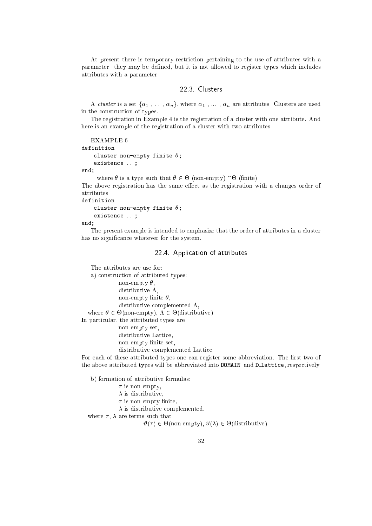At present there is temporary restriction pertaining to the use of attributes with a parameter: they may be defined, but it is not allowed to register types which includes attributes with a parameter.

#### 22.3. Clusters

A *cluster* is a set  $\{\alpha_1, \ldots, \alpha_n\}$ , where  $\alpha_1, \ldots, \alpha_n$  are attributes. Clusters are used in the construction of types.

The registration in Example 4 is the registration of a cluster with one attribute. And here is an example of the registration of a cluster with two attributes.

```
EXAMPLE 6
definition
    cluster non-empty finite \theta;
    existence ... ;
```
 $end:$ end; and the contract of the contract of the contract of the contract of the contract of the contract of the contract of the contract of the contract of the contract of the contract of the contract of the contract of the c

where  $\alpha$  is a type such that  $\alpha$  is a type supply), the present  $\beta$ The above registration has the same effect as the registration with a changes order of attributes:

definition

```
cluster non-empty finite \theta;
existence ... ;
```
end;

The present example is intended to emphasize that the order of attributes in a cluster has no significance whatever for the system.

#### 22.4. Application of attributes

The attributes are use for: a) construction of attributed types: non-empty  $\theta$ , distributive  $\Lambda$ , non-empty finite  $\theta$ , distributive complemented  $\Lambda$ , where  $2$  -  $2$  , where  $2$  -  $2$  -  $2$  -  $2$  -  $2$  , where  $2$  -  $2$  -  $2$  ,  $2$ In particular, the attributed types are non-empty set, distributive Lattice, non-empty finite set, distributive complemented Lattice.

For each of these attributed types one can register some abbreviation. The first two of the above attributed types will be abbreviated into DOMAIN and D Lattice, respectively.

b) formation of attributive formulas:

 $\tau$  is non-empty,

 $\lambda$  is distributive,

 $\tau$  is non-empty finite,

 $\lambda$  is distributive complemented,

where  $\tau$ ,  $\lambda$  are terms such that

#( ) <sup>2</sup> -(non-empty), #() <sup>2</sup> -(distributive).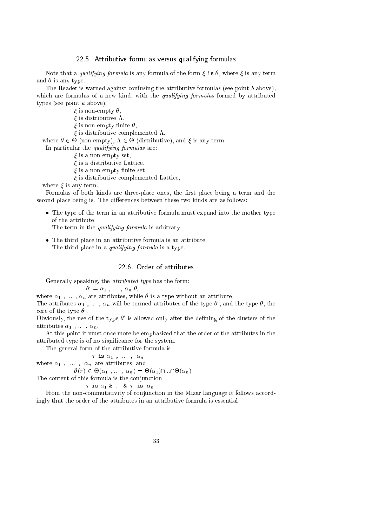#### 22.5. Attributive formulas versus qualifying formulas

Note that a *qualifying formula* is any formula of the form  $\xi$  is  $\theta$ , where  $\xi$  is any term and  $\theta$  is any type.

The Reader is warned against confusing the attributive formulas (see point  $b$  above), which are formulas of a new kind, with the *qualifying formulas* formed by attributed types (see point a above):

 $\xi$  is non-empty  $\theta$ ,

- $\xi$  is distributive  $\Lambda$ ,
- $\xi$  is non-empty finite  $\theta$ ,
- $\xi$  is distributive complemented  $\Lambda$ ,

where it is a contract the contract of the contract of the contract of the contract of the contract of the contract of the contract of the contract of the contract of the contract of the contract of the contract of the con

In particular the *qualifying formulas* are:

- $\xi$  is a non-empty set,
- $\xi$  is a distributive Lattice,
- $\xi$  is a non-empty finite set,
- $\xi$  is distributive complemented Lattice,

where  $\xi$  is any term.

Formulas of both kinds are three-place ones, the first place being a term and the second place being is. The differences between these two kinds are as follows:

 The type of the term in an attributive formula must expand into the mother type of the attribute.

The term in the *qualifying formula* is arbitrary.

The third place in an attribute formula is an attribute. The tribute formula is an attribute. The tribute is a The third place in a *qualifying formula* is a type.

#### 22.6 Order of attributes

Generally speaking, the attributed type has the form:

$$
\theta' = \alpha_1 \ , \ \ldots \ , \ \alpha_n \ \theta,
$$

where  $\alpha_1$ , ...,  $\alpha_n$  are attributes, while  $\theta$  is a type without an attribute.

The attributes  $\alpha_1$  , ... ,  $\alpha_n$  will be termed attributes of the type  $\sigma$  , and the type  $\sigma$ , the core of the type <sup>0</sup> .

Obviously, the use of the type <sup>0</sup> is allowed only after the dening of the clusters of the attributes  $\alpha_1$ , ...,  $\alpha_n$ .

At this point it must once more be emphasized that the order of the attributes in the attributed type is of no signicance for the system.

The general form of the attributive formula is

 $\tau$  is  $\alpha_1$  , ...,  $\alpha_n$ 

where  $\alpha_1$  ,  $\;\ldots\;$  ,  $\;\alpha_n\;$  are attributes, and

 $\| \cdot \|$  ,  $\|$  ,  $\|$  ,  $\|$  ,  $\|$  ,  $\|$  ,  $\|$  ,  $\|$  ,  $\|$  ,  $\|$  ,  $\|$  ,  $\|$  ,  $\|$  ,  $\|$  ,  $\|$ 

The content of this formula is the conjunction

 $\tau$  is  $\alpha_1$  &  $\ldots$  &  $\tau$  is  $\alpha_n$ 

From the non-commutativity of conjunction in the Mizar language it follows accordingly that the order of the attributes in an attributive formula is essential.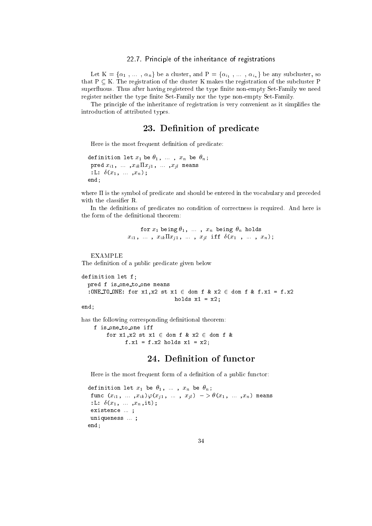#### 22.7. Principle of the inheritance of registrations

Let  $K = {\alpha_1, \ldots, \alpha_n}$  be a cluster, and  $P = {\alpha_{i_1}, \ldots, \alpha_{i_n}}$  be any subcluster, so that  $P \subseteq K$ . The registration of the cluster K makes the registration of the subcluster P superfluous. Thus after having registered the type finite non-empty Set-Family we need register neither the type finite Set-Family nor the type non-empty Set-Family.

The principle of the inheritance of registration is very convenient as it simplifies the introduction of attributed types.

## 23. Definition of predicate

Here is the most frequent definition of predicate:

```
definition let x_1 be \theta_1, ..., x_n be \theta_n;
 pred x_{i1}, ..., x_{ik} \prod x_{j1}, ..., x_{jl} means
 : L: \delta(x_1, \ldots, x_n);
end;
```
where  $\Pi$  is the symbol of predicate and should be entered in the vocabulary and preceded with the classifier R.

In the definitions of predicates no condition of correctness is required. And here is the form of the definitional theorem:

> for  $x_1$  being  $\theta_1$ , ...,  $x_n$  being  $\theta_n$  holds  $x_{i1}$ , ...,  $x_{ik} \Pi x_{j1}$ , ...,  $x_{jl}$  iff  $\delta(x_1$ , ...,  $x_n)$ ;

EXAMPLE The definition of a public predicate given below

```
definition let f;
 pred f is_one_to_one means
  :ONE_TO_ONE: for x1, x2 st x1 \in dom f & x2 \in dom f & f.x1 = f.x2
                              holds x1 = x2;
```
end;

has the following corresponding definitional theorem:

f is one to one iff for  $x1, x2$  st  $x1 \in$  dom f &  $x2 \in$  dom f & f.x1 = f.x2 holds x1 = x2;

## 24. Definition of functor

Here is the most frequent form of a definition of a public functor:

```
definition let x_1 be \theta_1, ..., x_n be \theta_n;
 func (x_{i1}, \ldots, x_{ik})\varphi(x_{i1}, \ldots, x_{il}) \to \theta(x_1, \ldots, x_n) means
 :L: \delta(x_1, ..., x_n, it);
 existence ... ;
 uniqueness ... ;
end;
```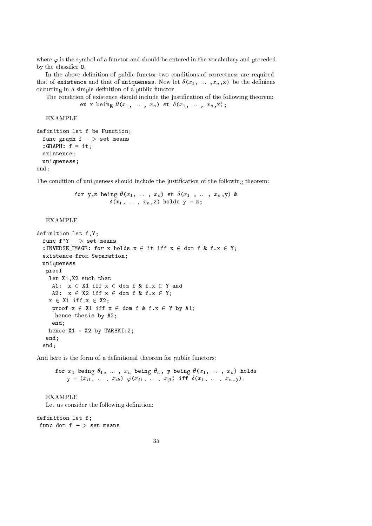where  $\varphi$  is the symbol of a functor and should be entered in the vocabulary and preceded by the classifier 0.

In the above definition of public functor two conditions of correctness are required: that of existence and that of uniqueness. Now let  $\delta(x_1, \ldots, x_n, x)$  be the definiens occurring in a simple definition of a public functor.

The condition of existence should include the justification of the following theorem: ex x being  $\theta(x_1, \ldots, x_n)$  st  $\delta(x_1, \ldots, x_n,x);$ 

EXAMPLE

```
definition let f be Function;
 func graph f - \gt set means
 :GRAPH: f = it;
 existence;
 uniqueness;
end;
```
The condition of uniqueness should include the justification of the following theorem:

for y, z being 
$$
\theta(x_1, \ldots, x_n)
$$
 st  $\delta(x_1, \ldots, x_n, y)$  &  $\delta(x_1, \ldots, x_n, z)$  holds  $y = z$ ;

#### EXAMPLE

```
definition let f,Y;
  func f''Y - > set means
  :INVERSE_IMAGE: for x holds x \in it iff x \in dom f & f.x \in Y;
  existence from Separation;
  uniqueness
  proof
    let X1,X2 such that
    A1: x \in X1 iff x \in dom f & f.x \in Y and
    A2: x \in X2 iff x \in dom f & f.x \in Y;
    x \in X1 iff x \in X2;
    proof x \in X1 iff x \in dom f & f.x \in Y by A1;
     hence thesis by A2;
     end;
   hence X1 = X2 by TARSKI:2;
   end;
  end;
```
And here is the form of a definitional theorem for public functors:

for  $x_1$  being  $\theta_1$ , ...,  $x_n$  being  $\theta_n$ , y being  $\theta(x_1, \ldots, x_n)$  holds  $y = (x_{i1}, \ldots, x_{ik}) \varphi(x_{j1}, \ldots, x_{jl})$  iff  $\delta(x_1, \ldots, x_n, y)$ ;

EXAMPLE Let us consider the following definition:

```
definition let f;
 func dom f \rightarrow set means
```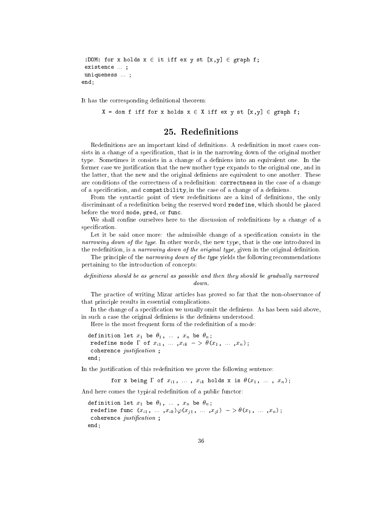```
:DOM: for x holds x \in it iff ex y st [x,y] \in graph f;
existence ... ;
uniqueness ... ;
end;
```
It has the corresponding definitional theorem:

```
X = dom f iff for x holds x \in X iff ex y st [x,y] \in graph f;
```
#### 25. Redefinitions

Redefinitions are an important kind of definitions. A redefinition in most cases consists in a change of a specification, that is in the narrowing down of the original mother type. Sometimes it consists in a change of a definiens into an equivalent one. In the former case we justication that the new mother type expands to the original one, and in the latter, that the new and the original definiens are equivalent to one another. These are conditions of the correctness of a redefinition: correctness in the case of a change of a specification, and compatibility, in the case of a change of a definiens.

From the syntactic point of view redefinitions are a kind of definitions, the only discriminant of a redefinition being the reserved word redefine, which should be placed before the word mode, pred, or func.

We shall confine ourselves here to the discussion of redefinitions by a change of a specification.

Let it be said once more: the admissible change of a specification consists in the narrowing down of the type. In other words, the new type, that is the one introduced in the redefinition, is a narrowing down of the original type, given in the original definition.

The principle of the narrowing down of the type yields the following recommendations pertaining to the introduction of concepts:

#### $definitions should be as general as possible and then they should be gradually narrowed.$  $down$

The practice of writing Mizar articles has proved so far that the non-observance of that principle results in essential complications.

In the change of a specification we usually omit the definiens. As has been said above, in such a case the original definiens is the definiens understood.

Here is the most frequent form of the redefinition of a mode:

definition let  $x_1$  be  $\theta_1$ , ...,  $x_n$  be  $\theta_n$ ; redefine mode  $\Gamma$  of  $x_{i1}$ , ...,  $x_{ik}$  ->  $\theta(x_1, \ldots, x_n)$ ; coherence  $justification$ ; end;

In the justification of this redefinition we prove the following sentence:

for x being  $\Gamma$  of  $x_{i1}$ , ...,  $x_{ik}$  holds x is  $\theta(x_1, \ldots, x_n);$ 

And here comes the typical redefinition of a public functor:

```
definition let x_1 be \theta_1, ..., x_n be \theta_n;
 redefine func (x_{i1}, \ldots, x_{ik})\varphi(x_{j1}, \ldots, x_{jl}) - \varphi(x_1, \ldots, x_n);coherence justification ;
end:
endo a contra de la contra de la contra de la contra de la contra de la contra de la contra de la contra de la
```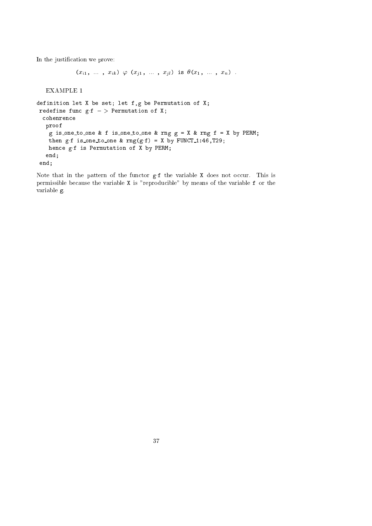In the justification we prove:

```
(x_{i1}, \ldots, x_{ik}) \varphi (x_{i1}, \ldots, x_{il}) is \theta(x_1, \ldots, x_n).
```
EXAMPLE 1

```
definition let X be set; let f,g be Permutation of X;
 redefine func gf - Permutation of X;
 cohenrence
  proof
   g is one to one & f is one to one & rng g = X & rng f = X by PERM;
   then gf is_one_to_one & rng(g.f) = X by FUNCT_1:46, T29;hence gf is Permutation of X by PERM;
   end;
 end;
```
Note that in the pattern of the functor gf the variable X does not occur. This is permissible because the variable X is "reproducible" by means of the variable f or the variable g.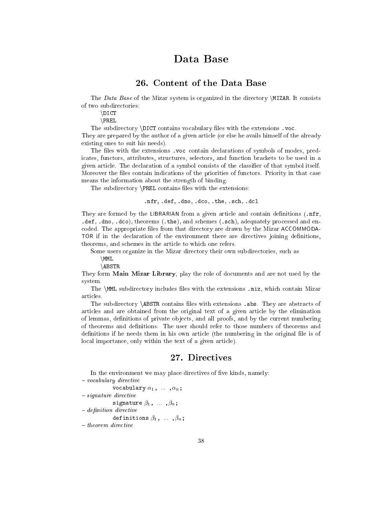# Data Base

## 26. Content of the Data Base

The Data Base of the Mizar system is organized in the directory  $MIZAR$ . It consists of two subdirectories:

\DICT

 $\P$ REL

The subdirectory  $DICT$  contains vocabulary files with the extensions .voc.

They are prepared by the author of a given article (or else he avails himself of the already existing ones to suit his needs).

The files with the extensions , yoc contain declarations of symbols of modes, predicates, functors, attributes, structures, selectors, and function brackets to be used in a given article. The declaration of a symbol consists of the classier of that symbol itself. Moreover the files contain indications of the priorities of functors. Priority in that case means the information about the strength of binding.

The subdirectory  $\P$ REL contains files with the extensions:

#### .nfr, .def, .dno, .dco, .the, .sch, .dcl

They are formed by the LIBRARIAN from a given article and contain definitions (.nfr, .def, .dno, .dco), theorems (.the), and schemes (.sch), adequately processed and encoded. The appropriate files from that directory are drawn by the Mizar ACCOMMODA-TOR if in the declaration of the environment there are directives joining definitions, theorems, and schemes in the article to which one refers.

Some users organize in the Mizar directory their own subdirectories, such as  $\M$ MML

\ABSTR

They form Main Mizar Library, play the role of documents and are not used by the system.

The  $\mathrm{MML}$  subdirectory includes files with the extensions .miz, which contain Mizar articles.

The subdirectory \ABSTR contains files with extensions .abs. They are abstracts of articles and are obtained from the original text of a given article by the elimination of lemmas, definitions of private objects, and all proofs, and by the current numbering of theorems and definitions. The user should refer to those numbers of theorems and definitions if he needs them in his own article (the numbering in the original file is of local importance, only within the text of a given article).

## 27. Directives

In the environment we may place directives of five kinds, namely:  $-$  vocabulary directive

vocabulary  $\alpha_1$ , ...,  $\alpha_n$ ;

- $-$  signature directive
- signature  $\beta_1$ , ...,  $\beta_n$ ;

```
- definition directive
```
definitions  $\beta_1$ , ...,  $\beta_n$ ;

 $-$  theorem directive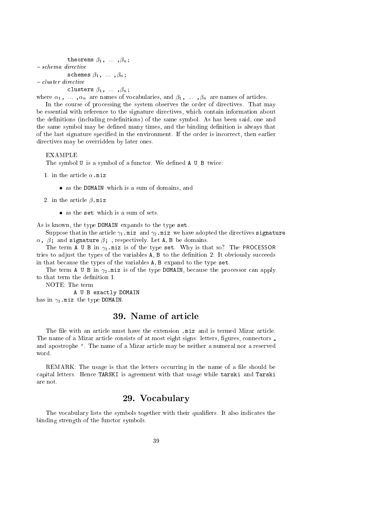```
theorems \beta_1, ..., \beta_n;
- schema directive
              schemes \beta_1, \ldots, \beta_n;- cluster directive
              clusters \beta_1, ..., \beta_n;
```
where  $\alpha_1, \ldots, \alpha_n$  are names of vocabularies, and  $\beta_1, \ldots, \beta_n$  are names of articles.

In the course of processing the system observes the order of directives. That may be essential with reference to the signature directives, which contain information about the definitions (including redefinitions) of the same symbol. As has been said, one and the same symbol may be defined many times, and the binding definition is always that of the last signature specied in the environment. If the order is incorrect, then earlier directives may be overridden by later ones.

#### **EXAMPLE**

The symbol U is a symbol of a functor. We defined A U B twice:

- 1. in the article  $\alpha$ .miz
	- as the DOMAIN which is a sum of domain  $\mathcal{A}$  sum of domains, and domains, and domains, and domains, and
- 2. in the article  $\beta$ .miz
	- $\bullet$  as the set which is a sum of sets.

As is known, the type DOMAIN expands to the type set.

Suppose that in the article  $\gamma_1$  miz and  $\gamma_2$  miz we have adopted the directives signature  $\alpha$ ,  $\beta$ ; and signature  $\beta$ ; , respectively. Let A, B be domains.

The term A U B in  $\gamma_1$  miz is of the type set. Why is that so? The PROCESSOR tries to adjust the types of the variables A, B to the denition 2. It obviously succeeds in that because the types of the variables A, B expand to the type set.

The term A U B in  $\gamma_2$  miz is of the type DOMAIN, because the processor can apply to that term the definition 1.

NOTE: The term

A U B exactly DOMAIN has in  $\gamma_1$ .miz the type DOMAIN.

## 39. Name of article

The file with an article must have the extension .miz and is termed Mizar article. The name of a Mizar article consists of at most eight signs: letters, figures, connectors \_ and apostrophe '. The name of a Mizar article may be neither a numeral nor a reserved word.

REMARK: The usage is that the letters occurring in the name of a file should be capital letters. Hence TARSKI is agreement with that usage while tarski and Tarski are not.

#### 29. Vocabulary

The vocabulary lists the symbols together with their qualifiers. It also indicates the binding strength of the functor symbols.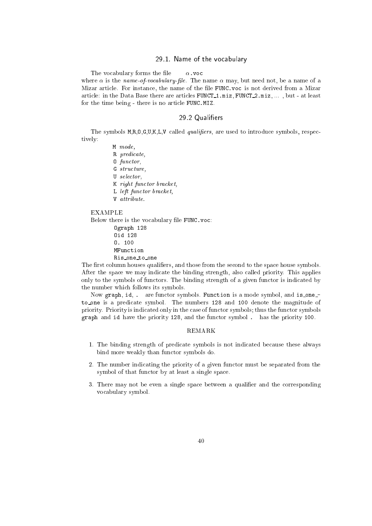#### 29.1. Name of the vocabulary

The vocabulary forms the file  $\alpha$  voc where  $\alpha$  is the *name-of-vocabulary-file*. The name  $\alpha$  may, but need not, be a name of a Mizar article. For instance, the name of the file FUNC voc is not derived from a Mizar article: in the Data Base there are articles FUNCT<sub>1</sub>.miz, FUNCT<sub>2</sub>.miz, ..., but - at least for the time being - there is no article FUNC.MIZ.

#### 29.2 Qualifiers -------------

The symbols  $M, R, O, G, U, K, L, V$  called *qualifiers*, are used to introduce symbols, respectively:

M mode, R predicate, O functor, G structure, U selector, K right functor bracket, L left functor bracket, V attribute. EXAMPLE Below there is the vocabulary file FUNC. voc: Ograph 128 Oid 128 O. 100

MFunction Ris one to one

The first column houses qualifiers, and those from the second to the space house symbols. After the space we may indicate the binding strength, also called priority. This applies only to the symbols of functors. The binding strength of a given functor is indicated by the number which follows its symbols.

Now graph, id, . are functor symbols. Function is a mode symbol, and is oneto one is <sup>a</sup> predicate symbol. The numbers <sup>128</sup> and <sup>100</sup> denote the magnitude of priority. Priority is indicated only in the case of functor symbols; thus the functor symbols graph and id have the priority 128, and the functor symbol . has the priority 100.

#### REMARK

- 1. The binding strength of predicate symbols is not indicated because these always bind more weakly than functor symbols do.
- 2. The number indicating the priority of a given functor must be separated from the symbol of that functor by at least a single space.
- 3. There may not be even a single space between a qualier and the corresponding vocabulary symbol.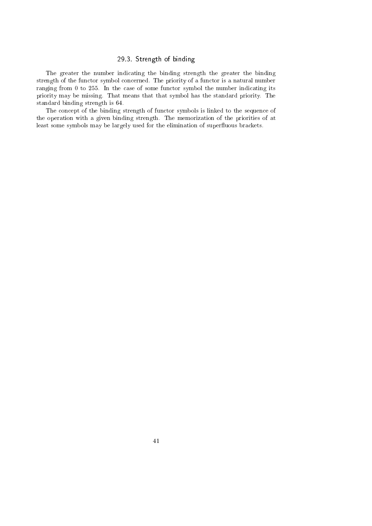#### 29.3. Strength of binding

The greater the number indicating the binding strength the greater the binding strength of the functor symbol concerned. The priority of a functor is a natural number ranging from 0 to 255. In the case of some functor symbol the number indicating its priority may be missing. That means that that symbol has the standard priority. The standard binding strength is 64.

The concept of the binding strength of functor symbols is linked to the sequence of the operation with a given binding strength. The memorization of the priorities of at least some symbols may be largely used for the elimination of superfluous brackets.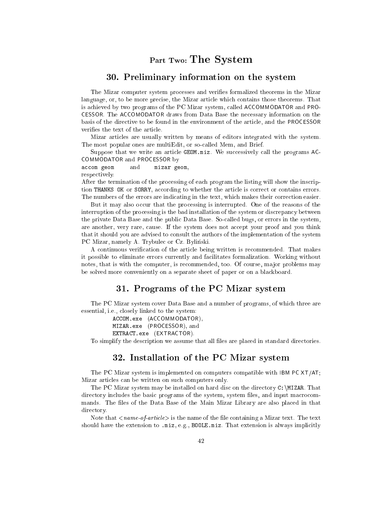# Part Two: The System

#### 30. Preliminary information on the system

The Mizar computer system processes and veries formalized theorems in the Mizar language, or, to be more precise, the Mizar article which contains those theorems. That is achieved by two programs of the PC Mizar system, called ACCOMMODATOR and PRO-CESSOR. The ACCOMODATOR draws from Data Base the necessary information on the basis of the directive to be found in the environment of the article, and the PROCESSOR verifies the text of the article.

Mizar articles are usually written by means of editors integrated with the system. The most popular ones are multiEdit, or so-called Mem, and Brief.

Suppose that we write an article GEOM.miz. We successively call the programs AC-COMMODATOR and PROCESSOR by

#### accom geom and mizar geom,

respectively.

After the termination of the processing of each program the listing will show the inscription THANKS OK or SORRY, according to whether the article is correct or contains errors. The numbers of the errors are indicating in the text, which makes their correction easier.

But it may also occur that the processing is interrupted. One of the reasons of the interruption of the processing is the bad installation of the system or discrepancy between the private Data Base and the public Data Base. So-called bugs, or errors in the system, are another, very rare, cause. If the system does not accept your proof and you think that it should you are advised to consult the authors of the implementation of the system PC Mizar, namely A. Trybulec or Cz. Byliński.

A continuous verication of the article being written is recommended. That makes it possible to eliminate errors currently and facilitates formalization. Working without notes, that is with the computer, is recommended, too. Of course, major problems may be solved more conveniently on a separate sheet of paper or on a blackboard.

#### 31. Programs of the PC Mizar system

The PC Mizar system cover Data Base and a number of programs, of which three are essential, i.e., closely linked to the system:

ACCOM.exe (ACCOMMODATOR),

MIZAR.exe (PROCESSOR), and

EXTRACT.exe (EXTRACTOR).

To simplify the description we assume that all files are placed in standard directories.

#### 32. Installation of the PC Mizar system

The PC Mizar system is implemented on computers compatible with IBM PC XT/AT; Mizar articles can be written on such computers only.

The PC Mizar system may be installed on hard disc on the directory  $C:\M{IZAR}$ . That directory includes the basic programs of the system, system files, and input macrocommands. The files of the Data Base of the Main Mizar Library are also placed in that directory.

Note that  $\langle$  name-of-article is the name of the file containing a Mizar text. The text should have the extension to .miz, e.g., BOOLE.miz. That extension is always implicitly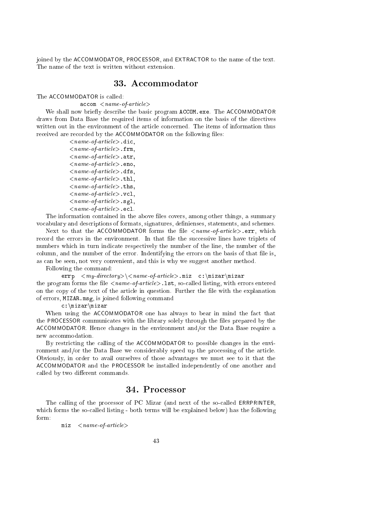joined by the ACCOMMODATOR, PROCESSOR, and EXTRACTOR to the name of the text. The name of the text is written without extension.

#### 33. Accommodator

The ACCOMMODATOR is called:

 $\texttt{accom} <$   $\textit{name-of-article}$ 

We shall now briefly describe the basic program ACCOM.exe. The ACCOMMODATOR draws from Data Base the required items of information on the basis of the directives written out in the environment of the article concerned. The items of information thus received are recorded by the ACCOMMODATOR on the following files:

> $\langle$  name-of-article $\rangle$ .dic,  $\langle$  name-of-article $\rangle$ . frm.  $\langle$  name-of-article $\rangle$ . atr.  $\langle$  name-of-article $\rangle$ . eno,  $\langle$  name-of-article $\rangle$ .dfs,  $\langle$  name-of-article $>$ .thl.  $\langle$  name-of-article $>$ .ths,  $\langle$  name-of-article $\rangle$ .vcl,  $\langle$  name-of-article $\rangle$ .sgl,  $\langle$  name-of-article $\rangle$ .ecl.

The information contained in the above files covers, among other things, a summary vocabulary and descriptions of formats, signatures, definienses, statements, and schemes.

Next to that the ACCOMMODATOR forms the file  $\langle$ name-of-article $\rangle$ .err, which record the errors in the environment. In that le the successive lines have triplets of numbers which in turn indicate respectively the number of the line, the number of the column, and the number of the error. Indentifying the errors on the basis of that file is, as can be seen, not very convenient, and this is why we suggest another method.

Following the command:

errp  $\langle my\text{-}directory \rangle \langle same\text{-}article \rangle$ .miz c:\mizar\mizar the program forms the file  $\langle$ name-of-article $\rangle$ . 1st, so-called listing, with errors entered on the copy of the text of the article in question. Further the file with the explanation of errors, MIZAR.msg, is joined following command

 $c:\nmid\text{zar}\nmid\text{zar}$ 

When using the ACCOMMODATOR one has always to bear in mind the fact that the PROCESSOR communicates with the library solely through the files prepared by the ACCOMMODATOR. Hence changes in the environment and/or the Data Base require a new accommodation.

By restricting the calling of the ACCOMMODATOR to possible changes in the environment and/or the Data Base we considerably speed up the processing of the article. Obviously, in order to avail ourselves of those advantages we must see to it that the ACCOMMODATOR and the PROCESSOR be installed independently of one another and called by two different commands.

The calling of the processor of PC Mizar (and next of the so-called ERRPRINTER, which forms the so-called listing - both terms will be explained below) has the following form:

 $miz$  < *name-of-article*>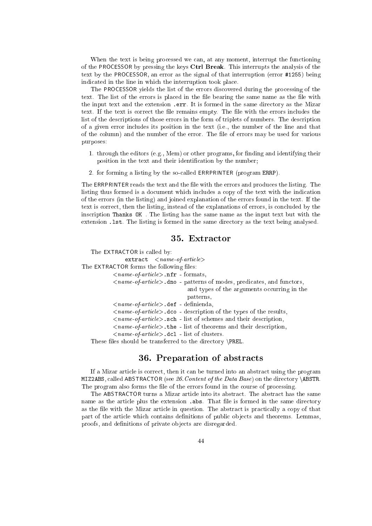When the text is being processed we can, at any moment, interrupt the functioning of the PROCESSOR by pressing the keys Ctrl Break. This interrupts the analysis of the text by the PROCESSOR, an error as the signal of that interruption (error #1255) being indicated in the line in which the interruption took place.

The PROCESSOR yields the list of the errors discovered during the processing of the text. The list of the errors is placed in the file bearing the same name as the file with the input text and the extension .err. It is formed in the same directory as the Mizar text. If the text is correct the file remains empty. The file with the errors includes the list of the descriptions of those errors in the form of triplets of numbers. The description of a given error includes its position in the text (i.e., the number of the line and that of the column) and the number of the error. The file of errors may be used for various purposes:

- 1. through the editors (e.g., Mem) or other programs, for finding and identifying their position in the text and their identification by the number;
- 2. for forming a listing by the so-called ERRPRINTER (program ERRP).

The ERRPRINTER reads the text and the file with the errors and produces the listing. The listing thus formed is a document which includes a copy of the text with the indication of the errors (in the listing) and joined explanation of the errors found in the text. If the text is correct, then the listing, instead of the explanations of errors, is concluded by the inscription Thanks OK . The listing has the same name as the input text but with the extension .lst. The listing is formed in the same directory as the text being analysed.

#### 35. Extractor

The EXTRACTOR is called by:  $ext{react}$   $\langle name-of-article \rangle$ The EXTRACTOR forms the following files:  $\langle$  name-of-article $\rangle$ .nfr - formats,  $\langle$  name-of-article $\rangle$ .dno - patterns of modes, predicates, and functors, and types of the arguments occurring in the patterns,  $\langle$  name-of-article $\rangle$ .def - definienda,  $\langle$  name-of-article $\rangle$ .dco - description of the types of the results,  $\langle$  name-of-article $\rangle$ . sch - list of schemes and their description,  $\langle$ *name-of-article* $>$ .the - list of theorems and their description,  $\langle$  name-of-article $\rangle$ .dc1 - list of clusters.

These files should be transferred to the directory \PREL.

#### 36. Preparation of abstracts

If a Mizar article is correct, then it can be turned into an abstract using the program MIZ2ABS, called ABSTRACTOR (see  $26$ . Content of the Data Base) on the directory \ABSTR. The program also forms the file of the errors found in the course of processing.

The ABSTRACTOR turns a Mizar article into its abstract. The abstract has the same name as the article plus the extension .abs. That file is formed in the same directory as the file with the Mizar article in question. The abstract is practically a copy of that part of the article which contains definitions of public objects and theorems. Lemmas, proofs, and definitions of private objects are disregarded.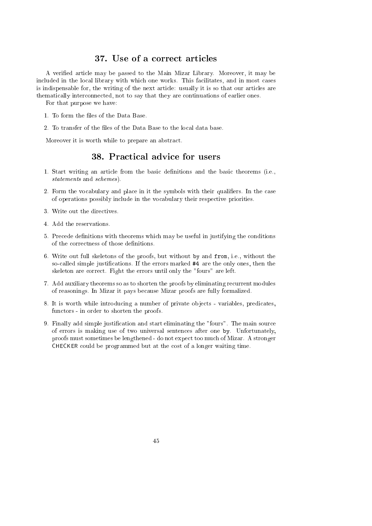## 37. Use of a correct articles

A veried article may be passed to the Main Mizar Library. Moreover, it may be included in the local library with which one works. This facilitates, and in most cases is indispensable for, the writing of the next article: usually it is so that our articles are thematically interconnected, not to say that they are continuations of earlier ones.

For that purpose we have:

- 1. To form the files of the Data Base.
- 2. To transfer of the files of the Data Base to the local data base.

Moreover it is worth while to prepare an abstract.

#### 38. Practical advice for users

- 1. Start writing an article from the basic denitions and the basic theorems (i.e., statements and schemes).
- 2. Form the vocabulary and place in it the symbols with their qualifiers. In the case of operations possibly include in the vocabulary their respective priorities.
- 3. Write out the directives.
- 4. Add the reservations.
- 5. Precede denitions with theorems which may be useful in justifying the conditions of the correctness of those denitions.
- 6. Write out full skeletons of the proofs, but without by and from, i.e., without the so-called simple justications. If the errors marked #4 are the only ones, then the skeleton are correct. Fight the errors until only the "fours" are left.
- 7. Add auxiliary theorems so as to shorten the proofs by eliminating recurrent modules of reasonings. In Mizar it pays because Mizar proofs are fully formalized.
- 8. It is worth while introducing a number of private ob jects variables, predicates, functors - in order to shorten the proofs.
- 9. Finally add simple justication and start eliminating the "fours". The main source of errors is making use of two universal sentences after one by. Unfortunately, proofs must sometimes be lengthened - do not expect too much of Mizar. A stronger CHECKER could be programmed but at the cost of a longer waiting time.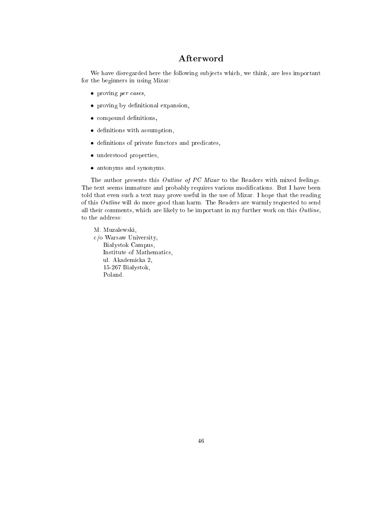## Afterword

We have disregarded here the following sub jects which, we think, are less important for the beginners in using Mizar:

- proving per cases,
- proving by decreasing and expansion,
- compound de la component de la compo
- de nitions with a state of the model problems with a state of the state of the state of the state of the state of the state of the state of the state of the state of the state of the state of the state of the state of the
- denitions of private functors and predicates,
- understood properties,
- antonyms and synonyms.

The author presents this *Outline of PC Mizar* to the Readers with mixed feelings. The text seems immature and probably requires various modications. But I have been told that even such a text may prove useful in the use of Mizar. I hope that the reading of this Outline will do more good than harm. The Readers are warmly requested to send all their comments, which are likely to be important in my further work on this  $\textit{Outline}$ , to the address:

- M. Muzalewski. M. Muzalewski,
- c/o Warsaw University, Białystok Campus, Institute of Mathematics, ul. Akademicka 2, 15-267 Białystok, Poland.